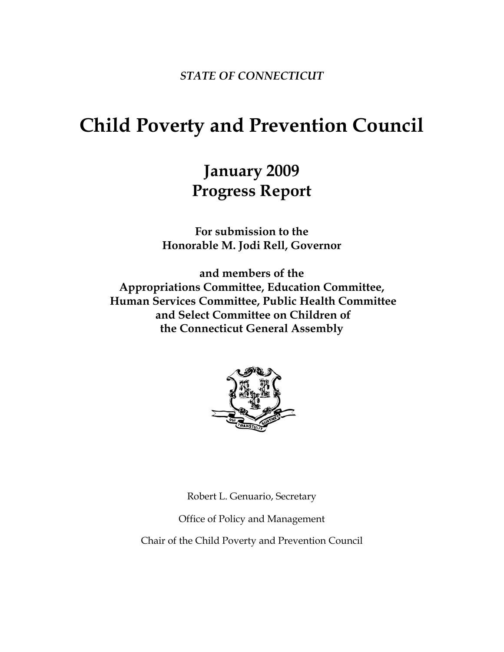*STATE OF CONNECTICUT* 

# **Child Poverty and Prevention Council**

## **January 2009 Progress Report**

**For submission to the Honorable M. Jodi Rell, Governor** 

**and members of the Appropriations Committee, Education Committee, Human Services Committee, Public Health Committee and Select Committee on Children of the Connecticut General Assembly** 



Robert L. Genuario, Secretary

Office of Policy and Management

Chair of the Child Poverty and Prevention Council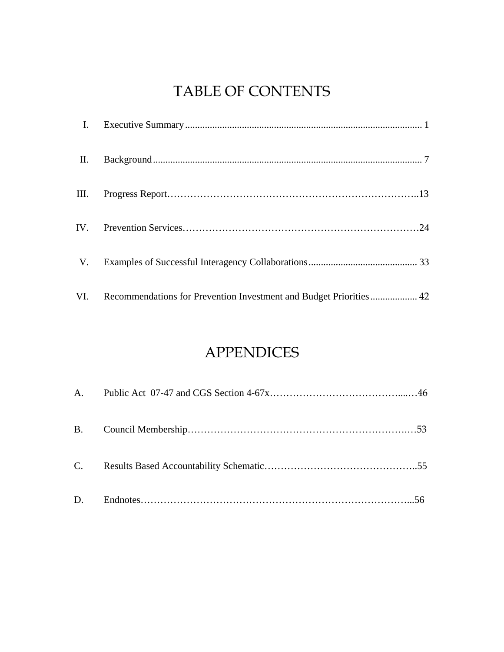## TABLE OF CONTENTS

| II. |                                                                        |  |
|-----|------------------------------------------------------------------------|--|
|     |                                                                        |  |
|     |                                                                        |  |
|     |                                                                        |  |
|     | VI. Recommendations for Prevention Investment and Budget Priorities 42 |  |

### APPENDICES

| C. |  |
|----|--|
| D. |  |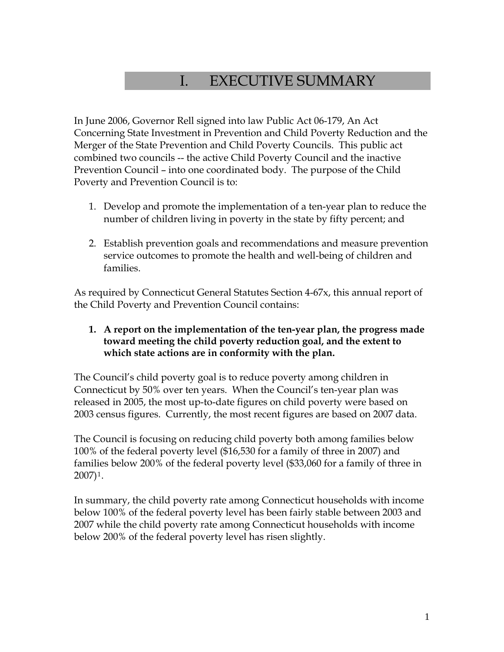### I. EXECUTIVE SUMMARY

In June 2006, Governor Rell signed into law Public Act 06-179, An Act Concerning State Investment in Prevention and Child Poverty Reduction and the Merger of the State Prevention and Child Poverty Councils. This public act combined two councils -- the active Child Poverty Council and the inactive Prevention Council – into one coordinated body. The purpose of the Child Poverty and Prevention Council is to:

- 1. Develop and promote the implementation of a ten-year plan to reduce the number of children living in poverty in the state by fifty percent; and
- 2. Establish prevention goals and recommendations and measure prevention service outcomes to promote the health and well-being of children and families.

As required by Connecticut General Statutes Section 4-67x, this annual report of the Child Poverty and Prevention Council contains:

#### **1. A report on the implementation of the ten-year plan, the progress made toward meeting the child poverty reduction goal, and the extent to which state actions are in conformity with the plan.**

The Council's child poverty goal is to reduce poverty among children in Connecticut by 50% over ten years. When the Council's ten-year plan was released in 2005, the most up-to-date figures on child poverty were based on 2003 census figures. Currently, the most recent figures are based on 2007 data.

The Council is focusing on reducing child poverty both among families below 100% of the federal poverty level (\$16,530 for a family of three in 2007) and families below 200% of the federal poverty level (\$33,060 for a family of three in 2007)[1](#page-57-0).

In summary, the child poverty rate among Connecticut households with income below 100% of the federal poverty level has been fairly stable between 2003 and 2007 while the child poverty rate among Connecticut households with income below 200% of the federal poverty level has risen slightly.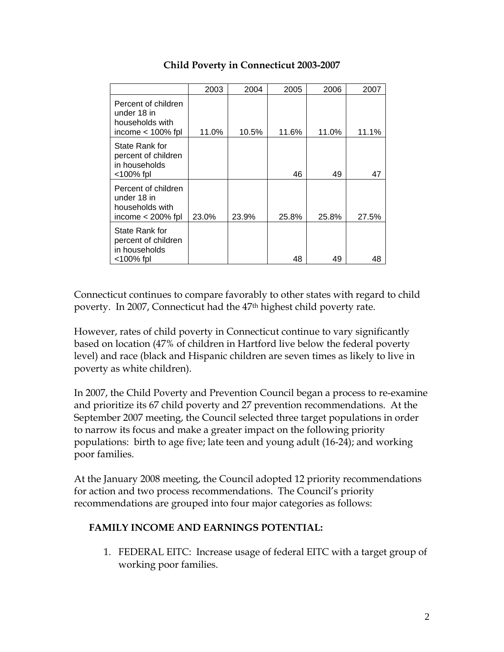|                                                                              | 2003  | 2004  | 2005  | 2006  | 2007  |
|------------------------------------------------------------------------------|-------|-------|-------|-------|-------|
| Percent of children<br>under 18 in<br>households with<br>income $<$ 100% fpl | 11.0% | 10.5% | 11.6% | 11.0% | 11.1% |
| State Rank for<br>percent of children<br>in households<br>$<$ 100% fpl       |       |       | 46    | 49    | 47    |
| Percent of children<br>under 18 in<br>households with<br>income $<$ 200% fpl | 23.0% | 23.9% | 25.8% | 25.8% | 27.5% |
| State Rank for<br>percent of children<br>in households<br>$<$ 100% fpl       |       |       | 48    | 49    | 48    |

### **Child Poverty in Connecticut 2003-2007**

Connecticut continues to compare favorably to other states with regard to child poverty. In 2007, Connecticut had the 47th highest child poverty rate.

However, rates of child poverty in Connecticut continue to vary significantly based on location (47% of children in Hartford live below the federal poverty level) and race (black and Hispanic children are seven times as likely to live in poverty as white children).

In 2007, the Child Poverty and Prevention Council began a process to re-examine and prioritize its 67 child poverty and 27 prevention recommendations. At the September 2007 meeting, the Council selected three target populations in order to narrow its focus and make a greater impact on the following priority populations: birth to age five; late teen and young adult (16-24); and working poor families.

At the January 2008 meeting, the Council adopted 12 priority recommendations for action and two process recommendations. The Council's priority recommendations are grouped into four major categories as follows:

### **FAMILY INCOME AND EARNINGS POTENTIAL:**

1. FEDERAL EITC: Increase usage of federal EITC with a target group of working poor families.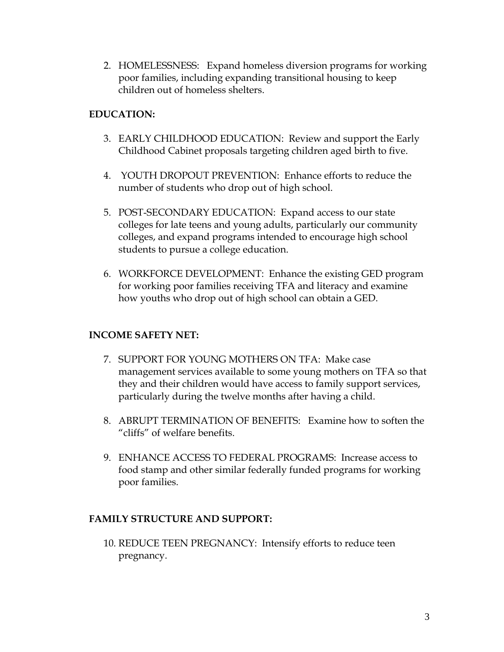2. HOMELESSNESS: Expand homeless diversion programs for working poor families, including expanding transitional housing to keep children out of homeless shelters.

### **EDUCATION:**

- 3. EARLY CHILDHOOD EDUCATION: Review and support the Early Childhood Cabinet proposals targeting children aged birth to five.
- 4. YOUTH DROPOUT PREVENTION: Enhance efforts to reduce the number of students who drop out of high school.
- 5. POST-SECONDARY EDUCATION: Expand access to our state colleges for late teens and young adults, particularly our community colleges, and expand programs intended to encourage high school students to pursue a college education.
- 6. WORKFORCE DEVELOPMENT: Enhance the existing GED program for working poor families receiving TFA and literacy and examine how youths who drop out of high school can obtain a GED.

### **INCOME SAFETY NET:**

- 7. SUPPORT FOR YOUNG MOTHERS ON TFA: Make case management services available to some young mothers on TFA so that they and their children would have access to family support services, particularly during the twelve months after having a child.
- 8. ABRUPT TERMINATION OF BENEFITS: Examine how to soften the "cliffs" of welfare benefits.
- 9. ENHANCE ACCESS TO FEDERAL PROGRAMS: Increase access to food stamp and other similar federally funded programs for working poor families.

#### **FAMILY STRUCTURE AND SUPPORT:**

10. REDUCE TEEN PREGNANCY: Intensify efforts to reduce teen pregnancy.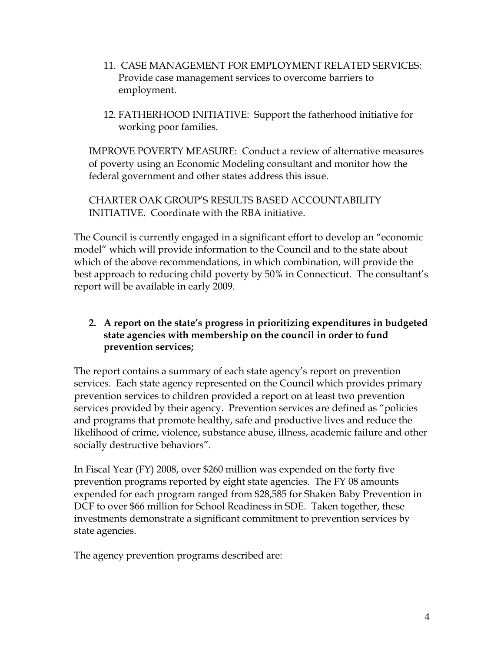- 11. CASE MANAGEMENT FOR EMPLOYMENT RELATED SERVICES: Provide case management services to overcome barriers to employment.
- 12. FATHERHOOD INITIATIVE: Support the fatherhood initiative for working poor families.

IMPROVE POVERTY MEASURE: Conduct a review of alternative measures of poverty using an Economic Modeling consultant and monitor how the federal government and other states address this issue.

CHARTER OAK GROUP'S RESULTS BASED ACCOUNTABILITY INITIATIVE. Coordinate with the RBA initiative.

The Council is currently engaged in a significant effort to develop an "economic model" which will provide information to the Council and to the state about which of the above recommendations, in which combination, will provide the best approach to reducing child poverty by 50% in Connecticut. The consultant's report will be available in early 2009.

### **2. A report on the state's progress in prioritizing expenditures in budgeted state agencies with membership on the council in order to fund prevention services;**

The report contains a summary of each state agency's report on prevention services. Each state agency represented on the Council which provides primary prevention services to children provided a report on at least two prevention services provided by their agency. Prevention services are defined as "policies and programs that promote healthy, safe and productive lives and reduce the likelihood of crime, violence, substance abuse, illness, academic failure and other socially destructive behaviors".

In Fiscal Year (FY) 2008, over \$260 million was expended on the forty five prevention programs reported by eight state agencies. The FY 08 amounts expended for each program ranged from \$28,585 for Shaken Baby Prevention in DCF to over \$66 million for School Readiness in SDE. Taken together, these investments demonstrate a significant commitment to prevention services by state agencies.

The agency prevention programs described are: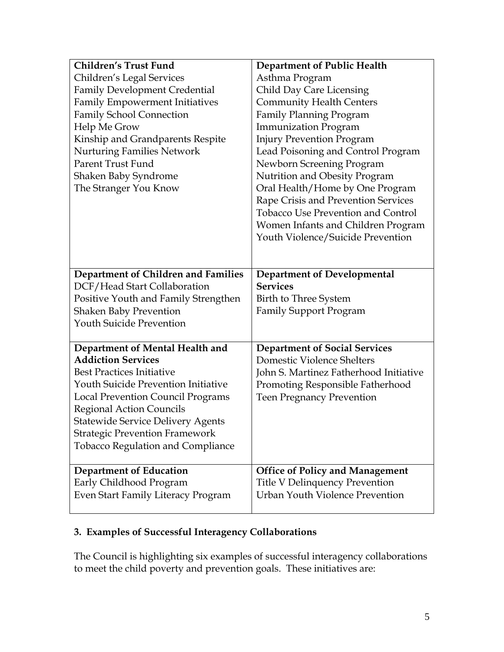| <b>Children's Trust Fund</b>               | <b>Department of Public Health</b>        |
|--------------------------------------------|-------------------------------------------|
| Children's Legal Services                  | Asthma Program                            |
| <b>Family Development Credential</b>       | <b>Child Day Care Licensing</b>           |
| <b>Family Empowerment Initiatives</b>      | <b>Community Health Centers</b>           |
| <b>Family School Connection</b>            | <b>Family Planning Program</b>            |
| Help Me Grow                               | <b>Immunization Program</b>               |
| Kinship and Grandparents Respite           | <b>Injury Prevention Program</b>          |
| <b>Nurturing Families Network</b>          | Lead Poisoning and Control Program        |
| Parent Trust Fund                          | Newborn Screening Program                 |
| Shaken Baby Syndrome                       | Nutrition and Obesity Program             |
| The Stranger You Know                      | Oral Health/Home by One Program           |
|                                            | Rape Crisis and Prevention Services       |
|                                            | <b>Tobacco Use Prevention and Control</b> |
|                                            | Women Infants and Children Program        |
|                                            | Youth Violence/Suicide Prevention         |
|                                            |                                           |
|                                            |                                           |
| Department of Children and Families        | <b>Department of Developmental</b>        |
| DCF/Head Start Collaboration               | <b>Services</b>                           |
| Positive Youth and Family Strengthen       | Birth to Three System                     |
| <b>Shaken Baby Prevention</b>              | <b>Family Support Program</b>             |
| <b>Youth Suicide Prevention</b>            |                                           |
|                                            |                                           |
| Department of Mental Health and            | <b>Department of Social Services</b>      |
| <b>Addiction Services</b>                  | Domestic Violence Shelters                |
| <b>Best Practices Initiative</b>           | John S. Martinez Fatherhood Initiative    |
| <b>Youth Suicide Prevention Initiative</b> | Promoting Responsible Fatherhood          |
| <b>Local Prevention Council Programs</b>   | <b>Teen Pregnancy Prevention</b>          |
| <b>Regional Action Councils</b>            |                                           |
| <b>Statewide Service Delivery Agents</b>   |                                           |
| <b>Strategic Prevention Framework</b>      |                                           |
| <b>Tobacco Regulation and Compliance</b>   |                                           |
| <b>Department of Education</b>             | <b>Office of Policy and Management</b>    |
| Early Childhood Program                    | <b>Title V Delinquency Prevention</b>     |
| Even Start Family Literacy Program         | <b>Urban Youth Violence Prevention</b>    |
|                                            |                                           |

### **3. Examples of Successful Interagency Collaborations**

The Council is highlighting six examples of successful interagency collaborations to meet the child poverty and prevention goals. These initiatives are: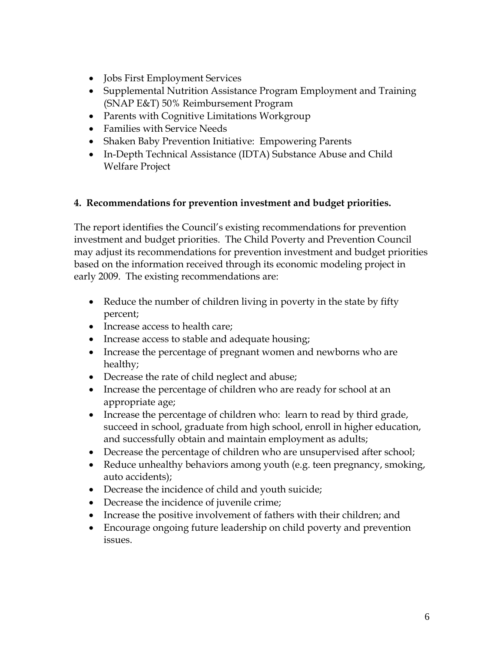- Jobs First Employment Services
- Supplemental Nutrition Assistance Program Employment and Training (SNAP E&T) 50% Reimbursement Program
- Parents with Cognitive Limitations Workgroup
- Families with Service Needs
- Shaken Baby Prevention Initiative: Empowering Parents
- In-Depth Technical Assistance (IDTA) Substance Abuse and Child Welfare Project

### **4. Recommendations for prevention investment and budget priorities.**

The report identifies the Council's existing recommendations for prevention investment and budget priorities. The Child Poverty and Prevention Council may adjust its recommendations for prevention investment and budget priorities based on the information received through its economic modeling project in early 2009. The existing recommendations are:

- Reduce the number of children living in poverty in the state by fifty percent;
- Increase access to health care;
- Increase access to stable and adequate housing;
- Increase the percentage of pregnant women and newborns who are healthy;
- Decrease the rate of child neglect and abuse;
- Increase the percentage of children who are ready for school at an appropriate age;
- Increase the percentage of children who: learn to read by third grade, succeed in school, graduate from high school, enroll in higher education, and successfully obtain and maintain employment as adults;
- Decrease the percentage of children who are unsupervised after school;
- Reduce unhealthy behaviors among youth (e.g. teen pregnancy, smoking, auto accidents);
- Decrease the incidence of child and youth suicide;
- Decrease the incidence of juvenile crime;
- Increase the positive involvement of fathers with their children; and
- Encourage ongoing future leadership on child poverty and prevention issues.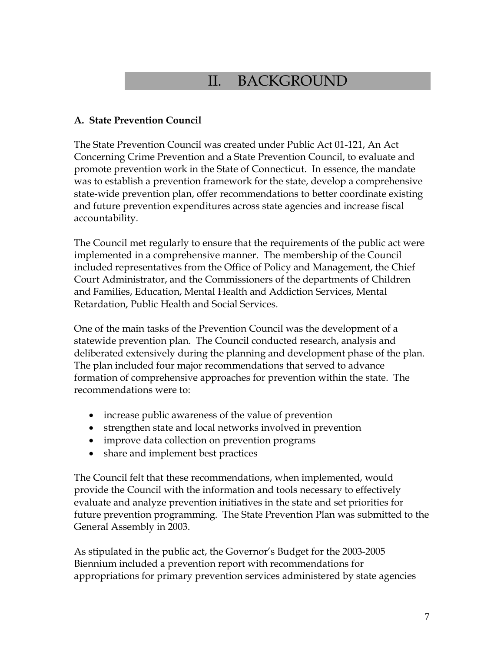### II. BACKGROUND

#### **A. State Prevention Council**

The State Prevention Council was created under Public Act 01-121, An Act Concerning Crime Prevention and a State Prevention Council, to evaluate and promote prevention work in the State of Connecticut. In essence, the mandate was to establish a prevention framework for the state, develop a comprehensive state-wide prevention plan, offer recommendations to better coordinate existing and future prevention expenditures across state agencies and increase fiscal accountability.

The Council met regularly to ensure that the requirements of the public act were implemented in a comprehensive manner. The membership of the Council included representatives from the Office of Policy and Management, the Chief Court Administrator, and the Commissioners of the departments of Children and Families, Education, Mental Health and Addiction Services, Mental Retardation, Public Health and Social Services.

One of the main tasks of the Prevention Council was the development of a statewide prevention plan. The Council conducted research, analysis and deliberated extensively during the planning and development phase of the plan. The plan included four major recommendations that served to advance formation of comprehensive approaches for prevention within the state. The recommendations were to:

- increase public awareness of the value of prevention
- strengthen state and local networks involved in prevention
- improve data collection on prevention programs
- share and implement best practices

The Council felt that these recommendations, when implemented, would provide the Council with the information and tools necessary to effectively evaluate and analyze prevention initiatives in the state and set priorities for future prevention programming. The State Prevention Plan was submitted to the General Assembly in 2003.

As stipulated in the public act, the Governor's Budget for the 2003-2005 Biennium included a prevention report with recommendations for appropriations for primary prevention services administered by state agencies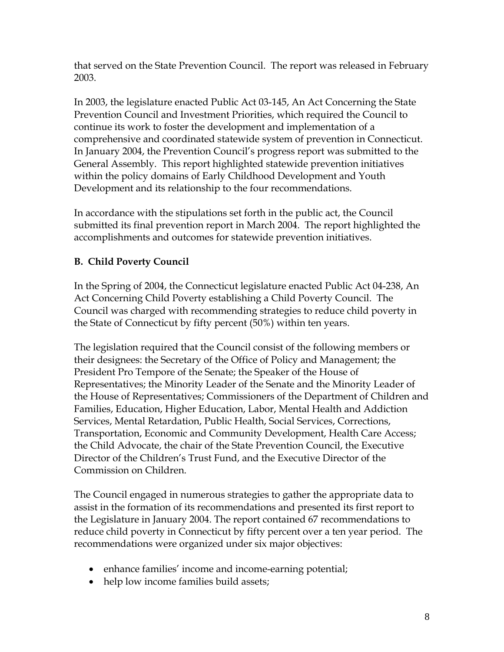that served on the State Prevention Council. The report was released in February 2003.

In 2003, the legislature enacted Public Act 03-145, An Act Concerning the State Prevention Council and Investment Priorities, which required the Council to continue its work to foster the development and implementation of a comprehensive and coordinated statewide system of prevention in Connecticut. In January 2004, the Prevention Council's progress report was submitted to the General Assembly. This report highlighted statewide prevention initiatives within the policy domains of Early Childhood Development and Youth Development and its relationship to the four recommendations.

In accordance with the stipulations set forth in the public act, the Council submitted its final prevention report in March 2004. The report highlighted the accomplishments and outcomes for statewide prevention initiatives.

### **B. Child Poverty Council**

In the Spring of 2004, the Connecticut legislature enacted Public Act 04-238, An Act Concerning Child Poverty establishing a Child Poverty Council. The Council was charged with recommending strategies to reduce child poverty in the State of Connecticut by fifty percent (50%) within ten years.

The legislation required that the Council consist of the following members or their designees: the Secretary of the Office of Policy and Management; the President Pro Tempore of the Senate; the Speaker of the House of Representatives; the Minority Leader of the Senate and the Minority Leader of the House of Representatives; Commissioners of the Department of Children and Families, Education, Higher Education, Labor, Mental Health and Addiction Services, Mental Retardation, Public Health, Social Services, Corrections, Transportation, Economic and Community Development, Health Care Access; the Child Advocate, the chair of the State Prevention Council, the Executive Director of the Children's Trust Fund, and the Executive Director of the Commission on Children.

The Council engaged in numerous strategies to gather the appropriate data to assist in the formation of its recommendations and presented its first report to the Legislature in January 2004. The report contained 67 recommendations to reduce child poverty in Connecticut by fifty percent over a ten year period. The recommendations were organized under six major objectives:

- enhance families' income and income-earning potential;
- help low income families build assets;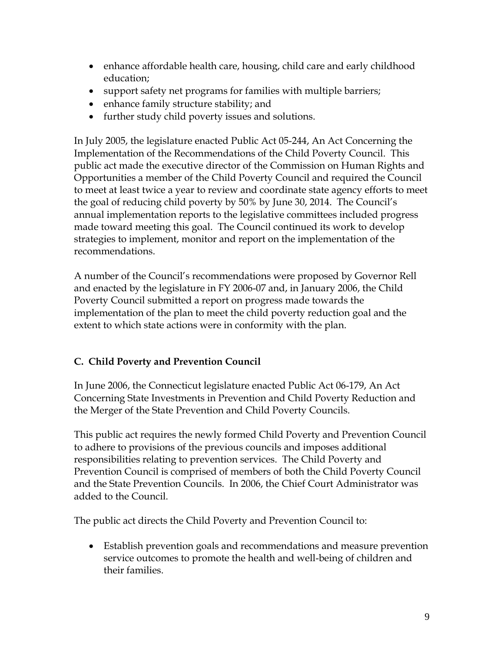- enhance affordable health care, housing, child care and early childhood education;
- support safety net programs for families with multiple barriers;
- enhance family structure stability; and
- further study child poverty issues and solutions.

In July 2005, the legislature enacted Public Act 05-244, An Act Concerning the Implementation of the Recommendations of the Child Poverty Council. This public act made the executive director of the Commission on Human Rights and Opportunities a member of the Child Poverty Council and required the Council to meet at least twice a year to review and coordinate state agency efforts to meet the goal of reducing child poverty by 50% by June 30, 2014. The Council's annual implementation reports to the legislative committees included progress made toward meeting this goal. The Council continued its work to develop strategies to implement, monitor and report on the implementation of the recommendations.

A number of the Council's recommendations were proposed by Governor Rell and enacted by the legislature in FY 2006-07 and, in January 2006, the Child Poverty Council submitted a report on progress made towards the implementation of the plan to meet the child poverty reduction goal and the extent to which state actions were in conformity with the plan.

### **C. Child Poverty and Prevention Council**

In June 2006, the Connecticut legislature enacted Public Act 06-179, An Act Concerning State Investments in Prevention and Child Poverty Reduction and the Merger of the State Prevention and Child Poverty Councils.

This public act requires the newly formed Child Poverty and Prevention Council to adhere to provisions of the previous councils and imposes additional responsibilities relating to prevention services. The Child Poverty and Prevention Council is comprised of members of both the Child Poverty Council and the State Prevention Councils. In 2006, the Chief Court Administrator was added to the Council.

The public act directs the Child Poverty and Prevention Council to:

• Establish prevention goals and recommendations and measure prevention service outcomes to promote the health and well-being of children and their families.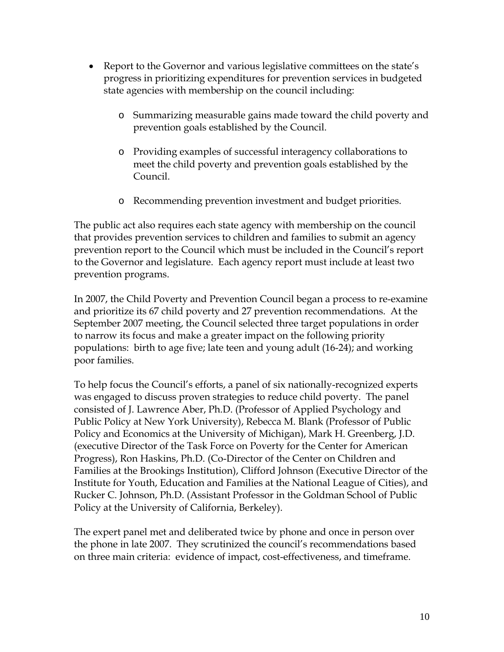- Report to the Governor and various legislative committees on the state's progress in prioritizing expenditures for prevention services in budgeted state agencies with membership on the council including:
	- o Summarizing measurable gains made toward the child poverty and prevention goals established by the Council.
	- o Providing examples of successful interagency collaborations to meet the child poverty and prevention goals established by the Council.
	- o Recommending prevention investment and budget priorities.

The public act also requires each state agency with membership on the council that provides prevention services to children and families to submit an agency prevention report to the Council which must be included in the Council's report to the Governor and legislature. Each agency report must include at least two prevention programs.

In 2007, the Child Poverty and Prevention Council began a process to re-examine and prioritize its 67 child poverty and 27 prevention recommendations. At the September 2007 meeting, the Council selected three target populations in order to narrow its focus and make a greater impact on the following priority populations: birth to age five; late teen and young adult (16-24); and working poor families.

To help focus the Council's efforts, a panel of six nationally-recognized experts was engaged to discuss proven strategies to reduce child poverty. The panel consisted of J. Lawrence Aber, Ph.D. (Professor of Applied Psychology and Public Policy at New York University), Rebecca M. Blank (Professor of Public Policy and Economics at the University of Michigan), Mark H. Greenberg, J.D. (executive Director of the Task Force on Poverty for the Center for American Progress), Ron Haskins, Ph.D. (Co-Director of the Center on Children and Families at the Brookings Institution), Clifford Johnson (Executive Director of the Institute for Youth, Education and Families at the National League of Cities), and Rucker C. Johnson, Ph.D. (Assistant Professor in the Goldman School of Public Policy at the University of California, Berkeley).

The expert panel met and deliberated twice by phone and once in person over the phone in late 2007. They scrutinized the council's recommendations based on three main criteria: evidence of impact, cost-effectiveness, and timeframe.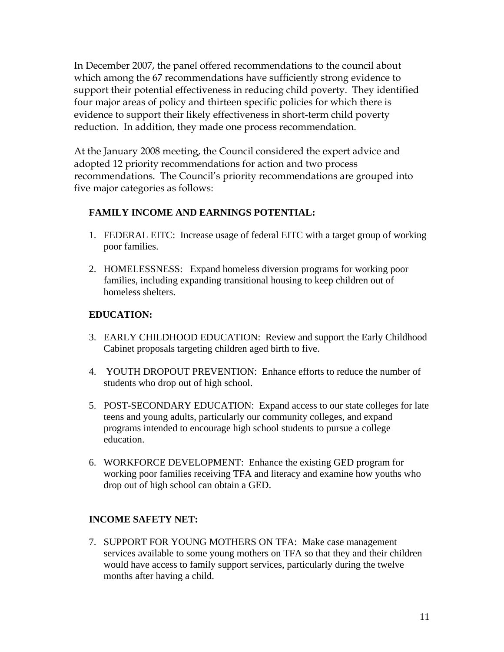In December 2007, the panel offered recommendations to the council about which among the 67 recommendations have sufficiently strong evidence to support their potential effectiveness in reducing child poverty. They identified four major areas of policy and thirteen specific policies for which there is evidence to support their likely effectiveness in short-term child poverty reduction. In addition, they made one process recommendation.

At the January 2008 meeting, the Council considered the expert advice and adopted 12 priority recommendations for action and two process recommendations. The Council's priority recommendations are grouped into five major categories as follows:

### **FAMILY INCOME AND EARNINGS POTENTIAL:**

- 1. FEDERAL EITC: Increase usage of federal EITC with a target group of working poor families.
- 2. HOMELESSNESS: Expand homeless diversion programs for working poor families, including expanding transitional housing to keep children out of homeless shelters.

#### **EDUCATION:**

- 3. EARLY CHILDHOOD EDUCATION: Review and support the Early Childhood Cabinet proposals targeting children aged birth to five.
- 4. YOUTH DROPOUT PREVENTION: Enhance efforts to reduce the number of students who drop out of high school.
- 5. POST-SECONDARY EDUCATION: Expand access to our state colleges for late teens and young adults, particularly our community colleges, and expand programs intended to encourage high school students to pursue a college education.
- 6. WORKFORCE DEVELOPMENT: Enhance the existing GED program for working poor families receiving TFA and literacy and examine how youths who drop out of high school can obtain a GED.

#### **INCOME SAFETY NET:**

7. SUPPORT FOR YOUNG MOTHERS ON TFA: Make case management services available to some young mothers on TFA so that they and their children would have access to family support services, particularly during the twelve months after having a child.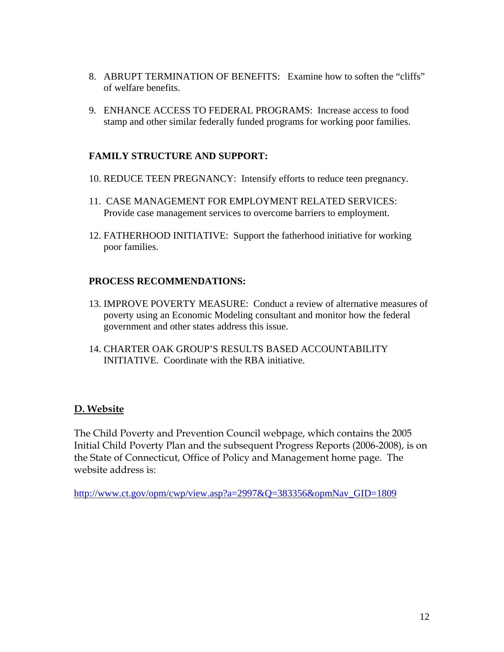- 8. ABRUPT TERMINATION OF BENEFITS: Examine how to soften the "cliffs" of welfare benefits.
- 9. ENHANCE ACCESS TO FEDERAL PROGRAMS: Increase access to food stamp and other similar federally funded programs for working poor families.

#### **FAMILY STRUCTURE AND SUPPORT:**

- 10. REDUCE TEEN PREGNANCY: Intensify efforts to reduce teen pregnancy.
- 11. CASE MANAGEMENT FOR EMPLOYMENT RELATED SERVICES: Provide case management services to overcome barriers to employment.
- 12. FATHERHOOD INITIATIVE: Support the fatherhood initiative for working poor families.

#### **PROCESS RECOMMENDATIONS:**

- 13. IMPROVE POVERTY MEASURE: Conduct a review of alternative measures of poverty using an Economic Modeling consultant and monitor how the federal government and other states address this issue.
- 14. CHARTER OAK GROUP'S RESULTS BASED ACCOUNTABILITY INITIATIVE. Coordinate with the RBA initiative.

#### **D. Website**

The Child Poverty and Prevention Council webpage, which contains the 2005 Initial Child Poverty Plan and the subsequent Progress Reports (2006-2008), is on the State of Connecticut, Office of Policy and Management home page. The website address is:

[http://www.ct.gov/opm/cwp/view.asp?a=2997&Q=383356&opmNav\\_GID=1809](http://www.ct.gov/opm/cwp/view.asp?a=2997&Q=383356&opmNav_GID=1809)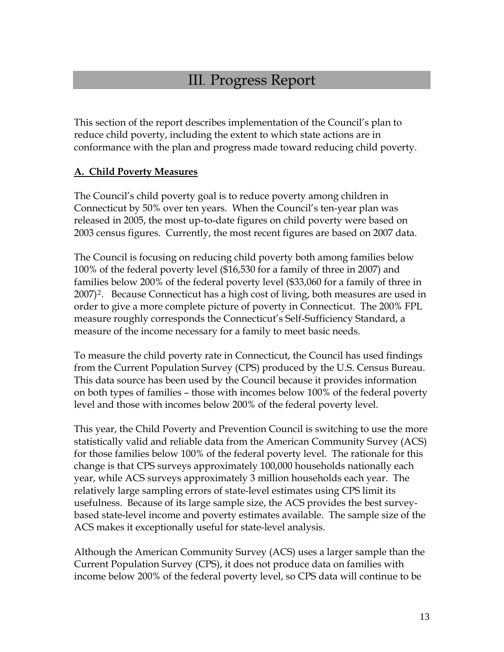### III. Progress Report

This section of the report describes implementation of the Council's plan to reduce child poverty, including the extent to which state actions are in conformance with the plan and progress made toward reducing child poverty.

### **A. Child Poverty Measures**

The Council's child poverty goal is to reduce poverty among children in Connecticut by 50% over ten years. When the Council's ten-year plan was released in 2005, the most up-to-date figures on child poverty were based on 2003 census figures. Currently, the most recent figures are based on 2007 data.

The Council is focusing on reducing child poverty both among families below 100% of the federal poverty level (\$16,530 for a family of three in 2007) and families below 200% of the federal poverty level (\$33,060 for a family of three in [2](#page-57-1)007)<sup>2</sup>. Because Connecticut has a high cost of living, both measures are used in order to give a more complete picture of poverty in Connecticut. The 200% FPL measure roughly corresponds the Connecticut's Self-Sufficiency Standard, a measure of the income necessary for a family to meet basic needs.

To measure the child poverty rate in Connecticut, the Council has used findings from the Current Population Survey (CPS) produced by the U.S. Census Bureau. This data source has been used by the Council because it provides information on both types of families – those with incomes below 100% of the federal poverty level and those with incomes below 200% of the federal poverty level.

This year, the Child Poverty and Prevention Council is switching to use the more statistically valid and reliable data from the American Community Survey (ACS) for those families below 100% of the federal poverty level. The rationale for this change is that CPS surveys approximately 100,000 households nationally each year, while ACS surveys approximately 3 million households each year. The relatively large sampling errors of state-level estimates using CPS limit its usefulness. Because of its large sample size, the ACS provides the best surveybased state-level income and poverty estimates available. The sample size of the ACS makes it exceptionally useful for state-level analysis.

Although the American Community Survey (ACS) uses a larger sample than the Current Population Survey (CPS), it does not produce data on families with income below 200% of the federal poverty level, so CPS data will continue to be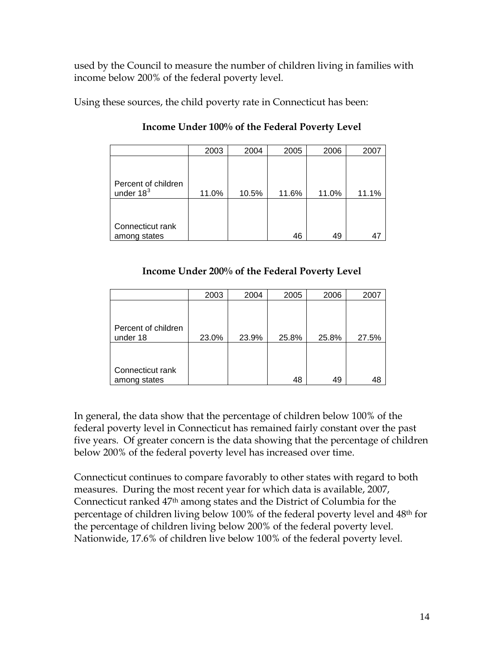used by the Council to measure the number of children living in families with income below 200% of the federal poverty level.

Using these sources, the child poverty rate in Connecticut has been:

|                     | 2003  | 2004  | 2005  | 2006  | 2007  |
|---------------------|-------|-------|-------|-------|-------|
|                     |       |       |       |       |       |
|                     |       |       |       |       |       |
| Percent of children |       |       |       |       |       |
| under $183$         | 11.0% | 10.5% | 11.6% | 11.0% | 11.1% |
|                     |       |       |       |       |       |
|                     |       |       |       |       |       |
|                     |       |       |       |       |       |
| Connecticut rank    |       |       |       |       |       |
| among states        |       |       | 46    | 49    |       |

**Income Under 100% of the Federal Poverty Level** 

### **Income Under 200% of the Federal Poverty Level**

|                     | 2003  | 2004  | 2005  | 2006  | 2007  |
|---------------------|-------|-------|-------|-------|-------|
|                     |       |       |       |       |       |
|                     |       |       |       |       |       |
|                     |       |       |       |       |       |
| Percent of children |       |       |       |       |       |
| under 18            | 23.0% | 23.9% | 25.8% | 25.8% | 27.5% |
|                     |       |       |       |       |       |
|                     |       |       |       |       |       |
|                     |       |       |       |       |       |
| Connecticut rank    |       |       |       |       |       |
| among states        |       |       | 48    | 49    | 48    |

In general, the data show that the percentage of children below 100% of the federal poverty level in Connecticut has remained fairly constant over the past five years. Of greater concern is the data showing that the percentage of children below 200% of the federal poverty level has increased over time.

Connecticut continues to compare favorably to other states with regard to both measures. During the most recent year for which data is available, 2007, Connecticut ranked 47th among states and the District of Columbia for the percentage of children living below 100% of the federal poverty level and 48th for the percentage of children living below 200% of the federal poverty level. Nationwide, 17.6% of children live below 100% of the federal poverty level.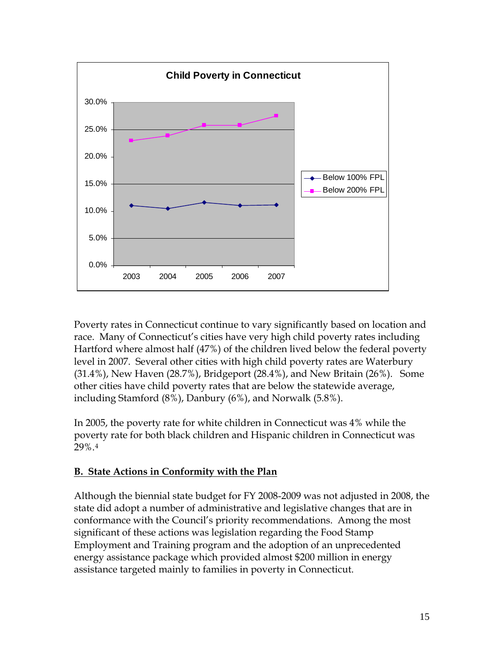

Poverty rates in Connecticut continue to vary significantly based on location and race. Many of Connecticut's cities have very high child poverty rates including Hartford where almost half (47%) of the children lived below the federal poverty level in 2007. Several other cities with high child poverty rates are Waterbury (31.4%), New Haven (28.7%), Bridgeport (28.4%), and New Britain (26%). Some other cities have child poverty rates that are below the statewide average, including Stamford (8%), Danbury (6%), and Norwalk (5.8%).

In 2005, the poverty rate for white children in Connecticut was 4% while the poverty rate for both black children and Hispanic children in Connecticut was 29%.[4](#page-57-1)

### **B. State Actions in Conformity with the Plan**

Although the biennial state budget for FY 2008-2009 was not adjusted in 2008, the state did adopt a number of administrative and legislative changes that are in conformance with the Council's priority recommendations. Among the most significant of these actions was legislation regarding the Food Stamp Employment and Training program and the adoption of an unprecedented energy assistance package which provided almost \$200 million in energy assistance targeted mainly to families in poverty in Connecticut.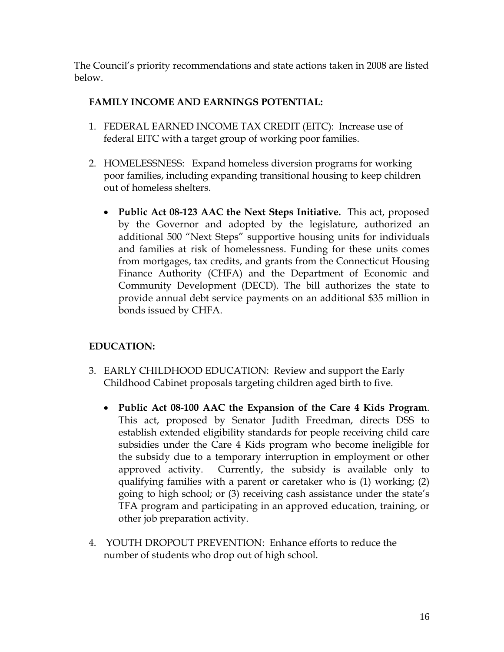The Council's priority recommendations and state actions taken in 2008 are listed below.

### **FAMILY INCOME AND EARNINGS POTENTIAL:**

- 1. FEDERAL EARNED INCOME TAX CREDIT (EITC): Increase use of federal EITC with a target group of working poor families.
- 2. HOMELESSNESS: Expand homeless diversion programs for working poor families, including expanding transitional housing to keep children out of homeless shelters.
	- **Public Act 08-123 AAC the Next Steps Initiative.** This act, proposed by the Governor and adopted by the legislature, authorized an additional 500 "Next Steps" supportive housing units for individuals and families at risk of homelessness. Funding for these units comes from mortgages, tax credits, and grants from the Connecticut Housing Finance Authority (CHFA) and the Department of Economic and Community Development (DECD). The bill authorizes the state to provide annual debt service payments on an additional \$35 million in bonds issued by CHFA.

### **EDUCATION:**

- 3. EARLY CHILDHOOD EDUCATION: Review and support the Early Childhood Cabinet proposals targeting children aged birth to five.
	- **Public Act 08-100 AAC the Expansion of the Care 4 Kids Program**. This act, proposed by Senator Judith Freedman, directs DSS to establish extended eligibility standards for people receiving child care subsidies under the Care 4 Kids program who become ineligible for the subsidy due to a temporary interruption in employment or other approved activity. Currently, the subsidy is available only to qualifying families with a parent or caretaker who is (1) working; (2) going to high school; or (3) receiving cash assistance under the state's TFA program and participating in an approved education, training, or other job preparation activity.
- 4. YOUTH DROPOUT PREVENTION: Enhance efforts to reduce the number of students who drop out of high school.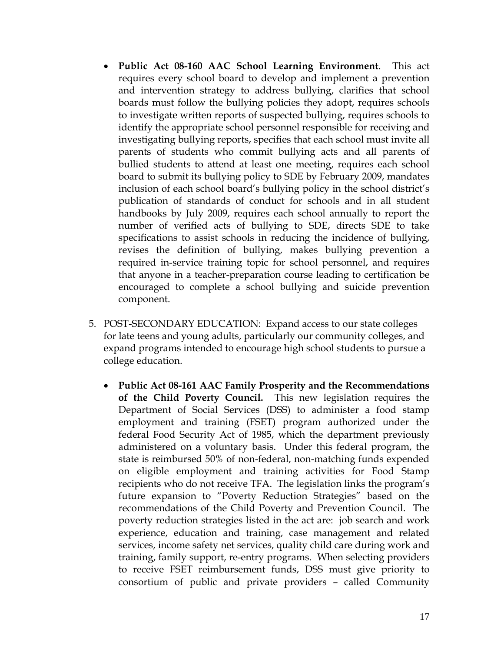- **Public Act 08-160 AAC School Learning Environment**. This act requires every school board to develop and implement a prevention and intervention strategy to address bullying, clarifies that school boards must follow the bullying policies they adopt, requires schools to investigate written reports of suspected bullying, requires schools to identify the appropriate school personnel responsible for receiving and investigating bullying reports, specifies that each school must invite all parents of students who commit bullying acts and all parents of bullied students to attend at least one meeting, requires each school board to submit its bullying policy to SDE by February 2009, mandates inclusion of each school board's bullying policy in the school district's publication of standards of conduct for schools and in all student handbooks by July 2009, requires each school annually to report the number of verified acts of bullying to SDE, directs SDE to take specifications to assist schools in reducing the incidence of bullying, revises the definition of bullying, makes bullying prevention a required in-service training topic for school personnel, and requires that anyone in a teacher-preparation course leading to certification be encouraged to complete a school bullying and suicide prevention component.
- 5. POST-SECONDARY EDUCATION: Expand access to our state colleges for late teens and young adults, particularly our community colleges, and expand programs intended to encourage high school students to pursue a college education.
	- **Public Act 08-161 AAC Family Prosperity and the Recommendations of the Child Poverty Council.** This new legislation requires the Department of Social Services (DSS) to administer a food stamp employment and training (FSET) program authorized under the federal Food Security Act of 1985, which the department previously administered on a voluntary basis. Under this federal program, the state is reimbursed 50% of non-federal, non-matching funds expended on eligible employment and training activities for Food Stamp recipients who do not receive TFA. The legislation links the program's future expansion to "Poverty Reduction Strategies" based on the recommendations of the Child Poverty and Prevention Council. The poverty reduction strategies listed in the act are: job search and work experience, education and training, case management and related services, income safety net services, quality child care during work and training, family support, re-entry programs. When selecting providers to receive FSET reimbursement funds, DSS must give priority to consortium of public and private providers – called Community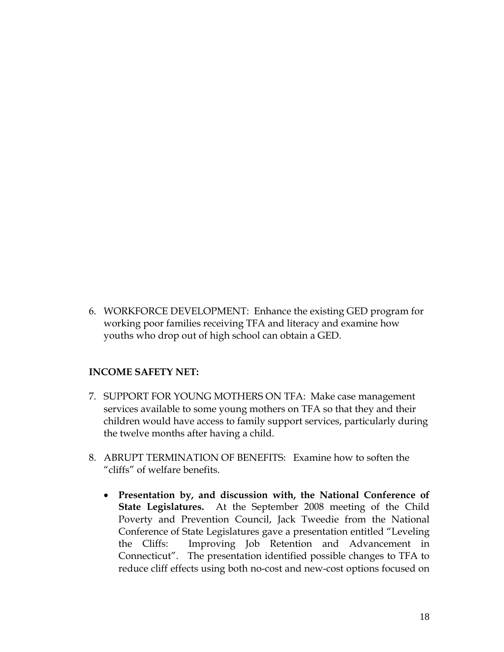6. WORKFORCE DEVELOPMENT: Enhance the existing GED program for working poor families receiving TFA and literacy and examine how youths who drop out of high school can obtain a GED.

#### **INCOME SAFETY NET:**

- 7. SUPPORT FOR YOUNG MOTHERS ON TFA: Make case management services available to some young mothers on TFA so that they and their children would have access to family support services, particularly during the twelve months after having a child.
- 8. ABRUPT TERMINATION OF BENEFITS: Examine how to soften the "cliffs" of welfare benefits.
	- **Presentation by, and discussion with, the National Conference of State Legislatures.** At the September 2008 meeting of the Child Poverty and Prevention Council, Jack Tweedie from the National Conference of State Legislatures gave a presentation entitled "Leveling the Cliffs: Improving Job Retention and Advancement in Connecticut". The presentation identified possible changes to TFA to reduce cliff effects using both no-cost and new-cost options focused on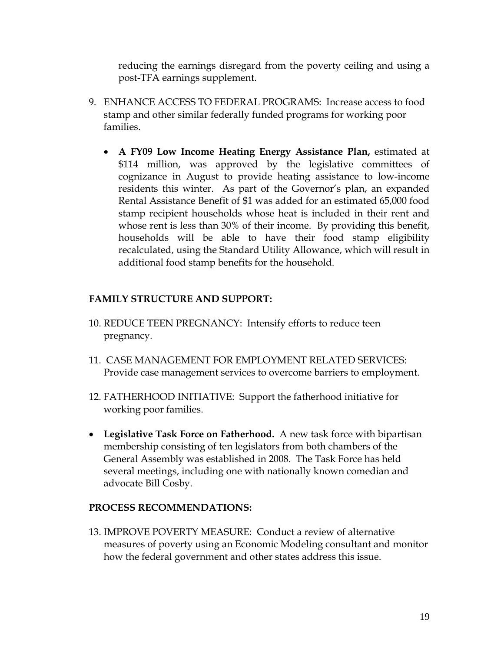reducing the earnings disregard from the poverty ceiling and using a post-TFA earnings supplement.

- 9. ENHANCE ACCESS TO FEDERAL PROGRAMS: Increase access to food stamp and other similar federally funded programs for working poor families.
	- **A FY09 Low Income Heating Energy Assistance Plan,** estimated at \$114 million, was approved by the legislative committees of cognizance in August to provide heating assistance to low-income residents this winter. As part of the Governor's plan, an expanded Rental Assistance Benefit of \$1 was added for an estimated 65,000 food stamp recipient households whose heat is included in their rent and whose rent is less than 30% of their income. By providing this benefit, households will be able to have their food stamp eligibility recalculated, using the Standard Utility Allowance, which will result in additional food stamp benefits for the household.

### **FAMILY STRUCTURE AND SUPPORT:**

- 10. REDUCE TEEN PREGNANCY: Intensify efforts to reduce teen pregnancy.
- 11. CASE MANAGEMENT FOR EMPLOYMENT RELATED SERVICES: Provide case management services to overcome barriers to employment.
- 12. FATHERHOOD INITIATIVE: Support the fatherhood initiative for working poor families.
- **Legislative Task Force on Fatherhood.** A new task force with bipartisan membership consisting of ten legislators from both chambers of the General Assembly was established in 2008. The Task Force has held several meetings, including one with nationally known comedian and advocate Bill Cosby.

### **PROCESS RECOMMENDATIONS:**

13. IMPROVE POVERTY MEASURE: Conduct a review of alternative measures of poverty using an Economic Modeling consultant and monitor how the federal government and other states address this issue.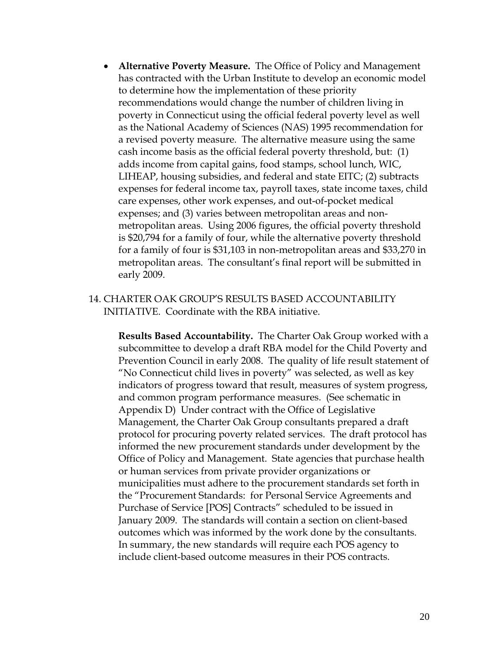- **Alternative Poverty Measure.** The Office of Policy and Management has contracted with the Urban Institute to develop an economic model to determine how the implementation of these priority recommendations would change the number of children living in poverty in Connecticut using the official federal poverty level as well as the National Academy of Sciences (NAS) 1995 recommendation for a revised poverty measure. The alternative measure using the same cash income basis as the official federal poverty threshold, but: (1) adds income from capital gains, food stamps, school lunch, WIC, LIHEAP, housing subsidies, and federal and state EITC; (2) subtracts expenses for federal income tax, payroll taxes, state income taxes, child care expenses, other work expenses, and out-of-pocket medical expenses; and (3) varies between metropolitan areas and nonmetropolitan areas. Using 2006 figures, the official poverty threshold is \$20,794 for a family of four, while the alternative poverty threshold for a family of four is \$31,103 in non-metropolitan areas and \$33,270 in metropolitan areas. The consultant's final report will be submitted in early 2009.
- 14. CHARTER OAK GROUP'S RESULTS BASED ACCOUNTABILITY INITIATIVE. Coordinate with the RBA initiative.

**Results Based Accountability.** The Charter Oak Group worked with a subcommittee to develop a draft RBA model for the Child Poverty and Prevention Council in early 2008. The quality of life result statement of "No Connecticut child lives in poverty" was selected, as well as key indicators of progress toward that result, measures of system progress, and common program performance measures. (See schematic in Appendix D) Under contract with the Office of Legislative Management, the Charter Oak Group consultants prepared a draft protocol for procuring poverty related services. The draft protocol has informed the new procurement standards under development by the Office of Policy and Management. State agencies that purchase health or human services from private provider organizations or municipalities must adhere to the procurement standards set forth in the "Procurement Standards: for Personal Service Agreements and Purchase of Service [POS] Contracts" scheduled to be issued in January 2009. The standards will contain a section on client-based outcomes which was informed by the work done by the consultants. In summary, the new standards will require each POS agency to include client-based outcome measures in their POS contracts.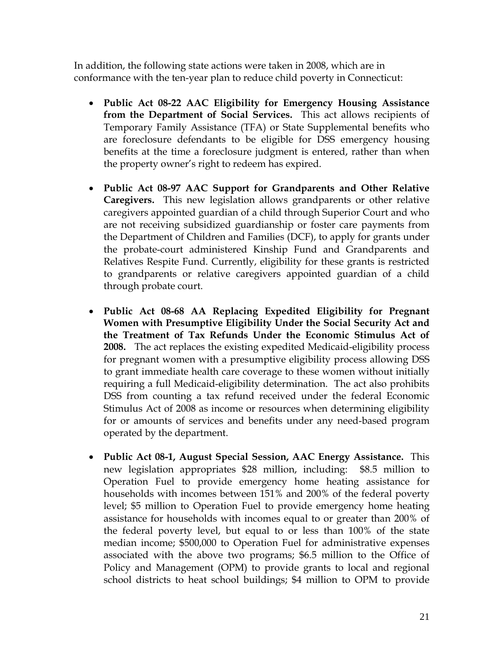In addition, the following state actions were taken in 2008, which are in conformance with the ten-year plan to reduce child poverty in Connecticut:

- **Public Act 08-22 AAC Eligibility for Emergency Housing Assistance from the Department of Social Services.** This act allows recipients of Temporary Family Assistance (TFA) or State Supplemental benefits who are foreclosure defendants to be eligible for DSS emergency housing benefits at the time a foreclosure judgment is entered, rather than when the property owner's right to redeem has expired.
- **Public Act 08-97 AAC Support for Grandparents and Other Relative Caregivers.** This new legislation allows grandparents or other relative caregivers appointed guardian of a child through Superior Court and who are not receiving subsidized guardianship or foster care payments from the Department of Children and Families (DCF), to apply for grants under the probate-court administered Kinship Fund and Grandparents and Relatives Respite Fund. Currently, eligibility for these grants is restricted to grandparents or relative caregivers appointed guardian of a child through probate court.
- **Public Act 08-68 AA Replacing Expedited Eligibility for Pregnant Women with Presumptive Eligibility Under the Social Security Act and the Treatment of Tax Refunds Under the Economic Stimulus Act of 2008.** The act replaces the existing expedited Medicaid-eligibility process for pregnant women with a presumptive eligibility process allowing DSS to grant immediate health care coverage to these women without initially requiring a full Medicaid-eligibility determination. The act also prohibits DSS from counting a tax refund received under the federal Economic Stimulus Act of 2008 as income or resources when determining eligibility for or amounts of services and benefits under any need-based program operated by the department.
- **Public Act 08-1, August Special Session, AAC Energy Assistance.** This new legislation appropriates \$28 million, including: \$8.5 million to Operation Fuel to provide emergency home heating assistance for households with incomes between 151% and 200% of the federal poverty level; \$5 million to Operation Fuel to provide emergency home heating assistance for households with incomes equal to or greater than 200% of the federal poverty level, but equal to or less than 100% of the state median income; \$500,000 to Operation Fuel for administrative expenses associated with the above two programs; \$6.5 million to the Office of Policy and Management (OPM) to provide grants to local and regional school districts to heat school buildings; \$4 million to OPM to provide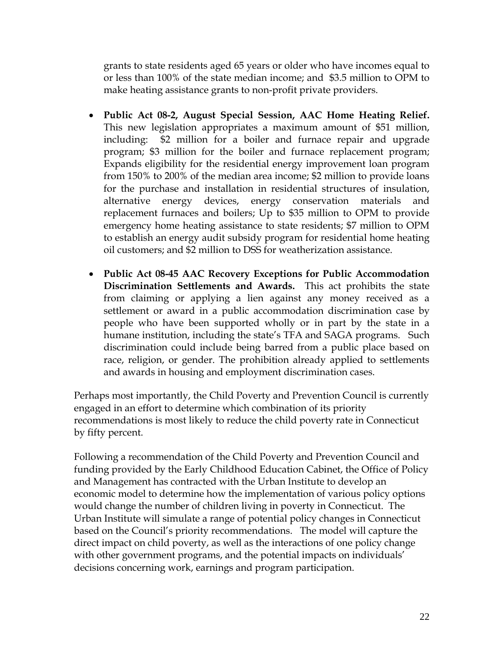grants to state residents aged 65 years or older who have incomes equal to or less than 100% of the state median income; and \$3.5 million to OPM to make heating assistance grants to non-profit private providers.

- **Public Act 08-2, August Special Session, AAC Home Heating Relief.**  This new legislation appropriates a maximum amount of \$51 million, including: \$2 million for a boiler and furnace repair and upgrade program; \$3 million for the boiler and furnace replacement program; Expands eligibility for the residential energy improvement loan program from 150% to 200% of the median area income; \$2 million to provide loans for the purchase and installation in residential structures of insulation, alternative energy devices, energy conservation materials and replacement furnaces and boilers; Up to \$35 million to OPM to provide emergency home heating assistance to state residents; \$7 million to OPM to establish an energy audit subsidy program for residential home heating oil customers; and \$2 million to DSS for weatherization assistance.
- **Public Act 08-45 AAC Recovery Exceptions for Public Accommodation Discrimination Settlements and Awards.** This act prohibits the state from claiming or applying a lien against any money received as a settlement or award in a public accommodation discrimination case by people who have been supported wholly or in part by the state in a humane institution, including the state's TFA and SAGA programs. Such discrimination could include being barred from a public place based on race, religion, or gender. The prohibition already applied to settlements and awards in housing and employment discrimination cases.

Perhaps most importantly, the Child Poverty and Prevention Council is currently engaged in an effort to determine which combination of its priority recommendations is most likely to reduce the child poverty rate in Connecticut by fifty percent.

Following a recommendation of the Child Poverty and Prevention Council and funding provided by the Early Childhood Education Cabinet, the Office of Policy and Management has contracted with the Urban Institute to develop an economic model to determine how the implementation of various policy options would change the number of children living in poverty in Connecticut. The Urban Institute will simulate a range of potential policy changes in Connecticut based on the Council's priority recommendations. The model will capture the direct impact on child poverty, as well as the interactions of one policy change with other government programs, and the potential impacts on individuals' decisions concerning work, earnings and program participation.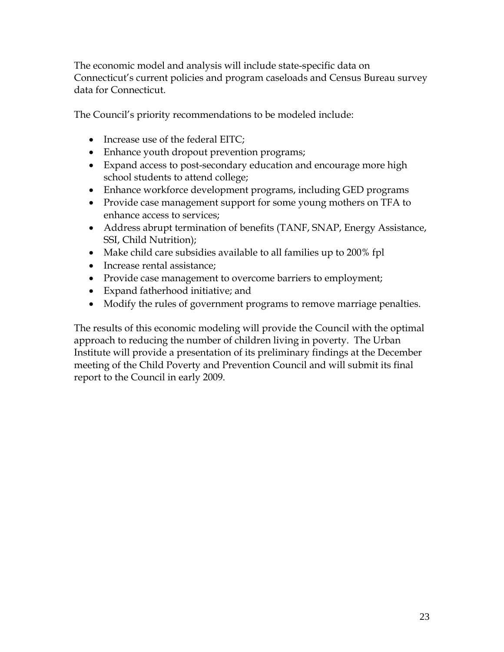The economic model and analysis will include state-specific data on Connecticut's current policies and program caseloads and Census Bureau survey data for Connecticut.

The Council's priority recommendations to be modeled include:

- Increase use of the federal EITC;
- Enhance youth dropout prevention programs;
- Expand access to post-secondary education and encourage more high school students to attend college;
- Enhance workforce development programs, including GED programs
- Provide case management support for some young mothers on TFA to enhance access to services;
- Address abrupt termination of benefits (TANF, SNAP, Energy Assistance, SSI, Child Nutrition);
- Make child care subsidies available to all families up to 200% fpl
- Increase rental assistance;
- Provide case management to overcome barriers to employment;
- Expand fatherhood initiative; and
- Modify the rules of government programs to remove marriage penalties.

The results of this economic modeling will provide the Council with the optimal approach to reducing the number of children living in poverty. The Urban Institute will provide a presentation of its preliminary findings at the December meeting of the Child Poverty and Prevention Council and will submit its final report to the Council in early 2009.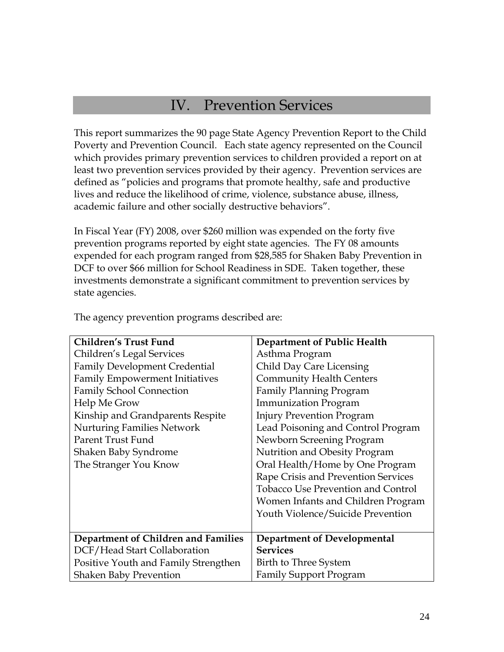### IV. Prevention Services

This report summarizes the 90 page State Agency Prevention Report to the Child Poverty and Prevention Council. Each state agency represented on the Council which provides primary prevention services to children provided a report on at least two prevention services provided by their agency. Prevention services are defined as "policies and programs that promote healthy, safe and productive lives and reduce the likelihood of crime, violence, substance abuse, illness, academic failure and other socially destructive behaviors".

In Fiscal Year (FY) 2008, over \$260 million was expended on the forty five prevention programs reported by eight state agencies. The FY 08 amounts expended for each program ranged from \$28,585 for Shaken Baby Prevention in DCF to over \$66 million for School Readiness in SDE. Taken together, these investments demonstrate a significant commitment to prevention services by state agencies.

| <b>Children's Trust Fund</b>          | <b>Department of Public Health</b>        |
|---------------------------------------|-------------------------------------------|
| Children's Legal Services             | Asthma Program                            |
| <b>Family Development Credential</b>  | Child Day Care Licensing                  |
| <b>Family Empowerment Initiatives</b> | <b>Community Health Centers</b>           |
| <b>Family School Connection</b>       | <b>Family Planning Program</b>            |
| Help Me Grow                          | <b>Immunization Program</b>               |
| Kinship and Grandparents Respite      | <b>Injury Prevention Program</b>          |
| <b>Nurturing Families Network</b>     | Lead Poisoning and Control Program        |
| Parent Trust Fund                     | Newborn Screening Program                 |
| Shaken Baby Syndrome                  | Nutrition and Obesity Program             |
| The Stranger You Know                 | Oral Health/Home by One Program           |
|                                       | Rape Crisis and Prevention Services       |
|                                       | <b>Tobacco Use Prevention and Control</b> |
|                                       | Women Infants and Children Program        |
|                                       | Youth Violence/Suicide Prevention         |
|                                       |                                           |
| Department of Children and Families   | Department of Developmental               |
| DCF/Head Start Collaboration          | <b>Services</b>                           |
| Positive Youth and Family Strengthen  | Birth to Three System                     |
| <b>Shaken Baby Prevention</b>         | <b>Family Support Program</b>             |

The agency prevention programs described are: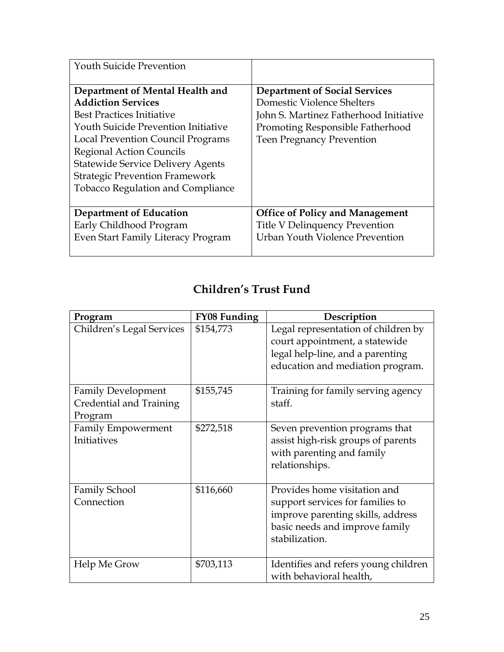| <b>Youth Suicide Prevention</b>            |                                        |
|--------------------------------------------|----------------------------------------|
| Department of Mental Health and            | <b>Department of Social Services</b>   |
| <b>Addiction Services</b>                  | Domestic Violence Shelters             |
| Best Practices Initiative                  | John S. Martinez Fatherhood Initiative |
| <b>Youth Suicide Prevention Initiative</b> | Promoting Responsible Fatherhood       |
| Local Prevention Council Programs          | <b>Teen Pregnancy Prevention</b>       |
| <b>Regional Action Councils</b>            |                                        |
| <b>Statewide Service Delivery Agents</b>   |                                        |
| <b>Strategic Prevention Framework</b>      |                                        |
| <b>Tobacco Regulation and Compliance</b>   |                                        |
|                                            |                                        |
| Department of Education                    | <b>Office of Policy and Management</b> |
| Early Childhood Program                    | Title V Delinquency Prevention         |
| Even Start Family Literacy Program         | Urban Youth Violence Prevention        |
|                                            |                                        |

| Program                                                         | <b>FY08 Funding</b> | Description                                                                                                                                               |
|-----------------------------------------------------------------|---------------------|-----------------------------------------------------------------------------------------------------------------------------------------------------------|
| Children's Legal Services                                       | \$154,773           | Legal representation of children by<br>court appointment, a statewide<br>legal help-line, and a parenting<br>education and mediation program.             |
| <b>Family Development</b><br>Credential and Training<br>Program | \$155,745           | Training for family serving agency<br>staff.                                                                                                              |
| <b>Family Empowerment</b><br>Initiatives                        | \$272,518           | Seven prevention programs that<br>assist high-risk groups of parents<br>with parenting and family<br>relationships.                                       |
| <b>Family School</b><br>Connection                              | \$116,660           | Provides home visitation and<br>support services for families to<br>improve parenting skills, address<br>basic needs and improve family<br>stabilization. |
| Help Me Grow                                                    | \$703,113           | Identifies and refers young children<br>with behavioral health,                                                                                           |

### **Children's Trust Fund**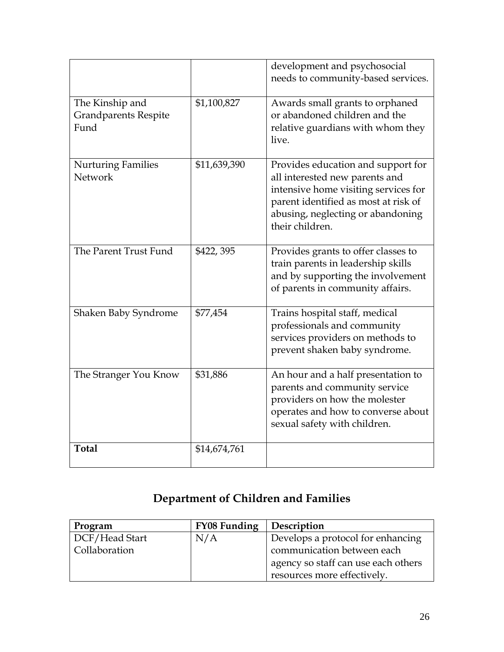|                                                        |              | development and psychosocial<br>needs to community-based services.                                                                                                                                           |
|--------------------------------------------------------|--------------|--------------------------------------------------------------------------------------------------------------------------------------------------------------------------------------------------------------|
| The Kinship and<br><b>Grandparents Respite</b><br>Fund | \$1,100,827  | Awards small grants to orphaned<br>or abandoned children and the<br>relative guardians with whom they<br>live.                                                                                               |
| <b>Nurturing Families</b><br>Network                   | \$11,639,390 | Provides education and support for<br>all interested new parents and<br>intensive home visiting services for<br>parent identified as most at risk of<br>abusing, neglecting or abandoning<br>their children. |
| The Parent Trust Fund                                  | \$422,395    | Provides grants to offer classes to<br>train parents in leadership skills<br>and by supporting the involvement<br>of parents in community affairs.                                                           |
| Shaken Baby Syndrome                                   | \$77,454     | Trains hospital staff, medical<br>professionals and community<br>services providers on methods to<br>prevent shaken baby syndrome.                                                                           |
| The Stranger You Know                                  | \$31,886     | An hour and a half presentation to<br>parents and community service<br>providers on how the molester<br>operates and how to converse about<br>sexual safety with children.                                   |
| <b>Total</b>                                           | \$14,674,761 |                                                                                                                                                                                                              |

### **Department of Children and Families**

| Program        | <b>FY08 Funding</b> | Description                         |
|----------------|---------------------|-------------------------------------|
| DCF/Head Start | N/A                 | Develops a protocol for enhancing   |
| Collaboration  |                     | communication between each          |
|                |                     | agency so staff can use each others |
|                |                     | resources more effectively.         |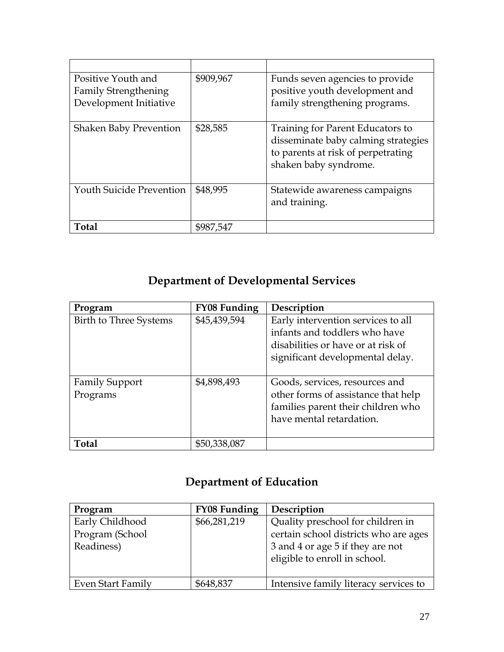| Positive Youth and<br><b>Family Strengthening</b><br>Development Initiative | \$909,967 | Funds seven agencies to provide<br>positive youth development and<br>family strengthening programs.                                    |
|-----------------------------------------------------------------------------|-----------|----------------------------------------------------------------------------------------------------------------------------------------|
| <b>Shaken Baby Prevention</b>                                               | \$28,585  | Training for Parent Educators to<br>disseminate baby calming strategies<br>to parents at risk of perpetrating<br>shaken baby syndrome. |
| <b>Youth Suicide Prevention</b>                                             | \$48,995  | Statewide awareness campaigns<br>and training.                                                                                         |
| <b>Total</b>                                                                | \$987,547 |                                                                                                                                        |

### **Department of Developmental Services**

| Program                           | <b>FY08 Funding</b> | Description                                                                                                                                   |
|-----------------------------------|---------------------|-----------------------------------------------------------------------------------------------------------------------------------------------|
| Birth to Three Systems            | \$45,439,594        | Early intervention services to all<br>infants and toddlers who have<br>disabilities or have or at risk of<br>significant developmental delay. |
| <b>Family Support</b><br>Programs | \$4,898,493         | Goods, services, resources and<br>other forms of assistance that help<br>families parent their children who<br>have mental retardation.       |
| Total                             | \$50,338,087        |                                                                                                                                               |

### **Department of Education**

| Program                                          | <b>FY08 Funding</b> | Description                                                                                                                                     |
|--------------------------------------------------|---------------------|-------------------------------------------------------------------------------------------------------------------------------------------------|
| Early Childhood<br>Program (School<br>Readiness) | \$66,281,219        | Quality preschool for children in<br>certain school districts who are ages<br>3 and 4 or age 5 if they are not<br>eligible to enroll in school. |
| Even Start Family                                | \$648,837           | Intensive family literacy services to                                                                                                           |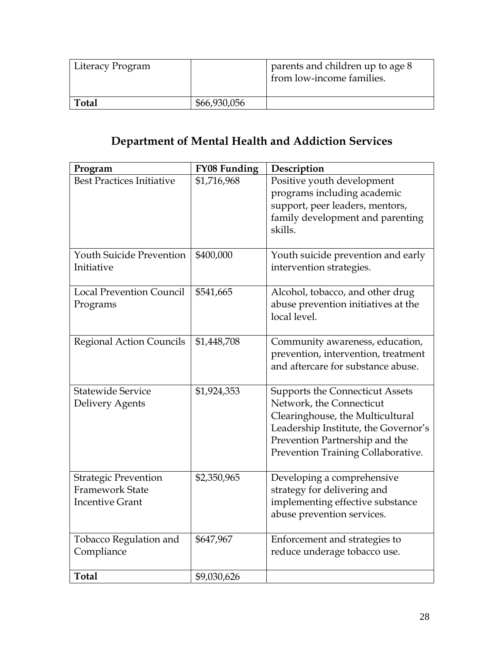| Literacy Program |              | parents and children up to age 8<br>from low-income families. |
|------------------|--------------|---------------------------------------------------------------|
| Total            | \$66,930,056 |                                                               |

## **Department of Mental Health and Addiction Services**

| Program                                                                         | <b>FY08 Funding</b> | Description                                                                                                                                                                                                            |
|---------------------------------------------------------------------------------|---------------------|------------------------------------------------------------------------------------------------------------------------------------------------------------------------------------------------------------------------|
| <b>Best Practices Initiative</b>                                                | \$1,716,968         | Positive youth development<br>programs including academic<br>support, peer leaders, mentors,<br>family development and parenting<br>skills.                                                                            |
| <b>Youth Suicide Prevention</b><br>Initiative                                   | \$400,000           | Youth suicide prevention and early<br>intervention strategies.                                                                                                                                                         |
| <b>Local Prevention Council</b><br>Programs                                     | \$541,665           | Alcohol, tobacco, and other drug<br>abuse prevention initiatives at the<br>local level.                                                                                                                                |
| <b>Regional Action Councils</b>                                                 | \$1,448,708         | Community awareness, education,<br>prevention, intervention, treatment<br>and aftercare for substance abuse.                                                                                                           |
| <b>Statewide Service</b><br>Delivery Agents                                     | \$1,924,353         | <b>Supports the Connecticut Assets</b><br>Network, the Connecticut<br>Clearinghouse, the Multicultural<br>Leadership Institute, the Governor's<br>Prevention Partnership and the<br>Prevention Training Collaborative. |
| <b>Strategic Prevention</b><br><b>Framework State</b><br><b>Incentive Grant</b> | \$2,350,965         | Developing a comprehensive<br>strategy for delivering and<br>implementing effective substance<br>abuse prevention services.                                                                                            |
| <b>Tobacco Regulation and</b><br>Compliance                                     | \$647,967           | Enforcement and strategies to<br>reduce underage tobacco use.                                                                                                                                                          |
| <b>Total</b>                                                                    | \$9,030,626         |                                                                                                                                                                                                                        |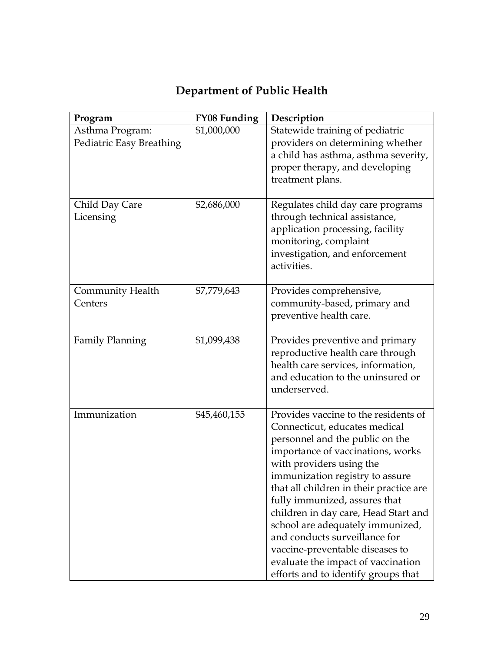| Program                                     | FY08 Funding | Description                                                                                                                                                                                                                                                                                                                                                                                                                                                                                                           |
|---------------------------------------------|--------------|-----------------------------------------------------------------------------------------------------------------------------------------------------------------------------------------------------------------------------------------------------------------------------------------------------------------------------------------------------------------------------------------------------------------------------------------------------------------------------------------------------------------------|
| Asthma Program:<br>Pediatric Easy Breathing | \$1,000,000  | Statewide training of pediatric<br>providers on determining whether<br>a child has asthma, asthma severity,<br>proper therapy, and developing<br>treatment plans.                                                                                                                                                                                                                                                                                                                                                     |
| Child Day Care<br>Licensing                 | \$2,686,000  | Regulates child day care programs<br>through technical assistance,<br>application processing, facility<br>monitoring, complaint<br>investigation, and enforcement<br>activities.                                                                                                                                                                                                                                                                                                                                      |
| <b>Community Health</b><br>Centers          | \$7,779,643  | Provides comprehensive,<br>community-based, primary and<br>preventive health care.                                                                                                                                                                                                                                                                                                                                                                                                                                    |
| <b>Family Planning</b>                      | \$1,099,438  | Provides preventive and primary<br>reproductive health care through<br>health care services, information,<br>and education to the uninsured or<br>underserved.                                                                                                                                                                                                                                                                                                                                                        |
| Immunization                                | \$45,460,155 | Provides vaccine to the residents of<br>Connecticut, educates medical<br>personnel and the public on the<br>importance of vaccinations, works<br>with providers using the<br>immunization registry to assure<br>that all children in their practice are<br>fully immunized, assures that<br>children in day care, Head Start and<br>school are adequately immunized,<br>and conducts surveillance for<br>vaccine-preventable diseases to<br>evaluate the impact of vaccination<br>efforts and to identify groups that |

## **Department of Public Health**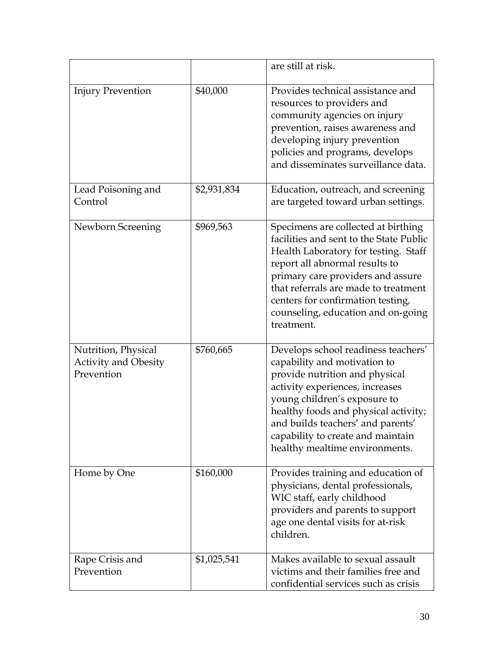|                                                                  |             | are still at risk.                                                                                                                                                                                                                                                                                                             |
|------------------------------------------------------------------|-------------|--------------------------------------------------------------------------------------------------------------------------------------------------------------------------------------------------------------------------------------------------------------------------------------------------------------------------------|
| <b>Injury Prevention</b>                                         | \$40,000    | Provides technical assistance and<br>resources to providers and<br>community agencies on injury<br>prevention, raises awareness and<br>developing injury prevention<br>policies and programs, develops<br>and disseminates surveillance data.                                                                                  |
| Lead Poisoning and<br>Control                                    | \$2,931,834 | Education, outreach, and screening<br>are targeted toward urban settings.                                                                                                                                                                                                                                                      |
| Newborn Screening                                                | \$969,563   | Specimens are collected at birthing<br>facilities and sent to the State Public<br>Health Laboratory for testing. Staff<br>report all abnormal results to<br>primary care providers and assure<br>that referrals are made to treatment<br>centers for confirmation testing,<br>counseling, education and on-going<br>treatment. |
| Nutrition, Physical<br><b>Activity and Obesity</b><br>Prevention | \$760,665   | Develops school readiness teachers'<br>capability and motivation to<br>provide nutrition and physical<br>activity experiences, increases<br>young children's exposure to<br>healthy foods and physical activity;<br>and builds teachers' and parents'<br>capability to create and maintain<br>healthy mealtime environments.   |
| Home by One                                                      | \$160,000   | Provides training and education of<br>physicians, dental professionals,<br>WIC staff, early childhood<br>providers and parents to support<br>age one dental visits for at-risk<br>children.                                                                                                                                    |
| Rape Crisis and<br>Prevention                                    | \$1,025,541 | Makes available to sexual assault<br>victims and their families free and<br>confidential services such as crisis                                                                                                                                                                                                               |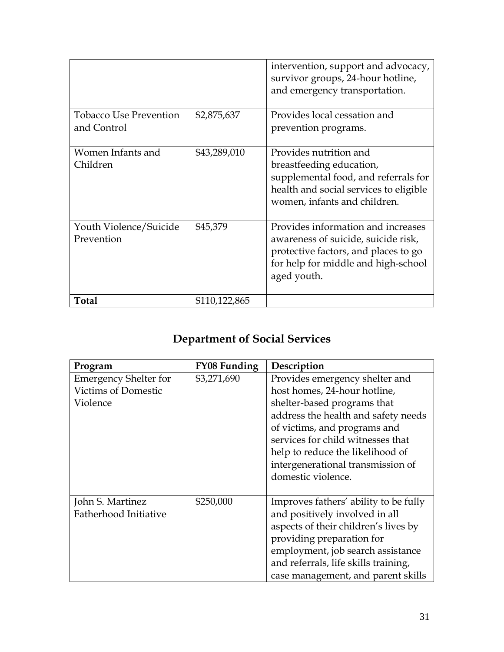|                                              |               | intervention, support and advocacy,<br>survivor groups, 24-hour hotline,<br>and emergency transportation.                                                               |
|----------------------------------------------|---------------|-------------------------------------------------------------------------------------------------------------------------------------------------------------------------|
| <b>Tobacco Use Prevention</b><br>and Control | \$2,875,637   | Provides local cessation and<br>prevention programs.                                                                                                                    |
| Women Infants and<br>Children                | \$43,289,010  | Provides nutrition and<br>breastfeeding education,<br>supplemental food, and referrals for<br>health and social services to eligible<br>women, infants and children.    |
| Youth Violence/Suicide<br>Prevention         | \$45,379      | Provides information and increases<br>awareness of suicide, suicide risk,<br>protective factors, and places to go<br>for help for middle and high-school<br>aged youth. |
| <b>Total</b>                                 | \$110,122,865 |                                                                                                                                                                         |

## **Department of Social Services**

| Program                      | <b>FY08 Funding</b> | Description                           |
|------------------------------|---------------------|---------------------------------------|
| <b>Emergency Shelter for</b> | \$3,271,690         | Provides emergency shelter and        |
| <b>Victims of Domestic</b>   |                     | host homes, 24-hour hotline,          |
| Violence                     |                     | shelter-based programs that           |
|                              |                     | address the health and safety needs   |
|                              |                     | of victims, and programs and          |
|                              |                     | services for child witnesses that     |
|                              |                     | help to reduce the likelihood of      |
|                              |                     | intergenerational transmission of     |
|                              |                     | domestic violence.                    |
|                              |                     |                                       |
| John S. Martinez             | \$250,000           | Improves fathers' ability to be fully |
| Fatherhood Initiative        |                     | and positively involved in all        |
|                              |                     | aspects of their children's lives by  |
|                              |                     | providing preparation for             |
|                              |                     | employment, job search assistance     |
|                              |                     | and referrals, life skills training,  |
|                              |                     | case management, and parent skills    |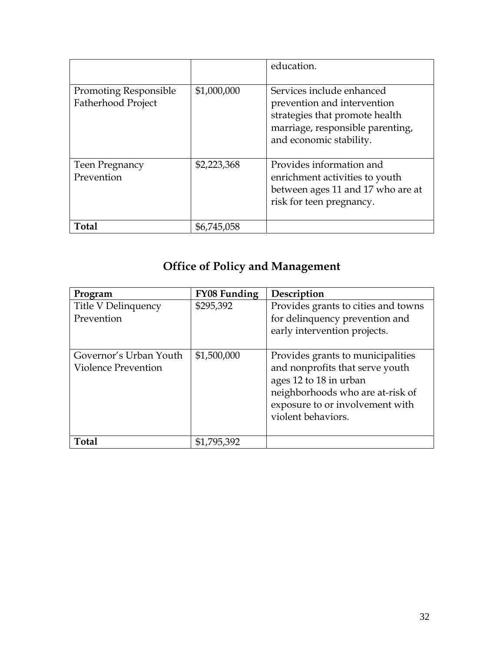|                                                    |             | education.                                                                                                                                                |
|----------------------------------------------------|-------------|-----------------------------------------------------------------------------------------------------------------------------------------------------------|
| <b>Promoting Responsible</b><br>Fatherhood Project | \$1,000,000 | Services include enhanced<br>prevention and intervention<br>strategies that promote health<br>marriage, responsible parenting,<br>and economic stability. |
| Teen Pregnancy<br>Prevention                       | \$2,223,368 | Provides information and<br>enrichment activities to youth<br>between ages 11 and 17 who are at<br>risk for teen pregnancy.                               |
| Total                                              | \$6,745,058 |                                                                                                                                                           |

## **Office of Policy and Management**

| Program                                       | <b>FY08 Funding</b> | Description                                                                                                                                                                                 |
|-----------------------------------------------|---------------------|---------------------------------------------------------------------------------------------------------------------------------------------------------------------------------------------|
| Title V Delinquency<br>Prevention             | \$295,392           | Provides grants to cities and towns<br>for delinquency prevention and<br>early intervention projects.                                                                                       |
| Governor's Urban Youth<br>Violence Prevention | \$1,500,000         | Provides grants to municipalities<br>and nonprofits that serve youth<br>ages 12 to 18 in urban<br>neighborhoods who are at-risk of<br>exposure to or involvement with<br>violent behaviors. |
| <b>Total</b>                                  | \$1,795,392         |                                                                                                                                                                                             |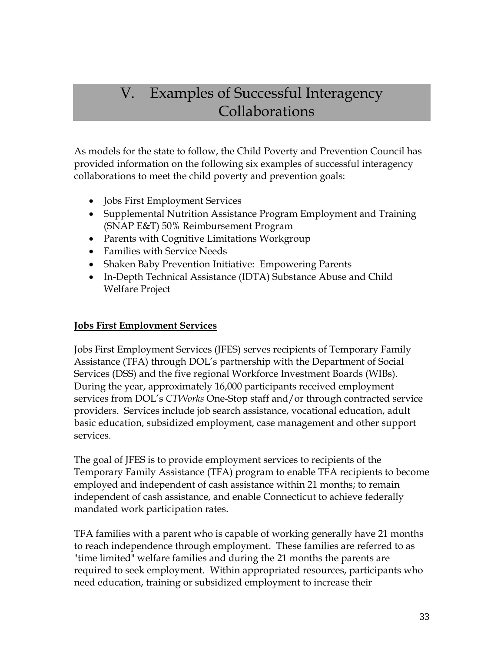## V. Examples of Successful Interagency Collaborations

As models for the state to follow, the Child Poverty and Prevention Council has provided information on the following six examples of successful interagency collaborations to meet the child poverty and prevention goals:

- **Jobs First Employment Services**
- Supplemental Nutrition Assistance Program Employment and Training (SNAP E&T) 50% Reimbursement Program
- Parents with Cognitive Limitations Workgroup
- Families with Service Needs
- Shaken Baby Prevention Initiative: Empowering Parents
- In-Depth Technical Assistance (IDTA) Substance Abuse and Child Welfare Project

#### **Jobs First Employment Services**

Jobs First Employment Services (JFES) serves recipients of Temporary Family Assistance (TFA) through DOL's partnership with the Department of Social Services (DSS) and the five regional Workforce Investment Boards (WIBs). During the year, approximately 16,000 participants received employment services from DOL's *CTWorks* One-Stop staff and/or through contracted service providers. Services include job search assistance, vocational education, adult basic education, subsidized employment, case management and other support services.

The goal of JFES is to provide employment services to recipients of the Temporary Family Assistance (TFA) program to enable TFA recipients to become employed and independent of cash assistance within 21 months; to remain independent of cash assistance, and enable Connecticut to achieve federally mandated work participation rates.

TFA families with a parent who is capable of working generally have 21 months to reach independence through employment. These families are referred to as "time limited" welfare families and during the 21 months the parents are required to seek employment. Within appropriated resources, participants who need education, training or subsidized employment to increase their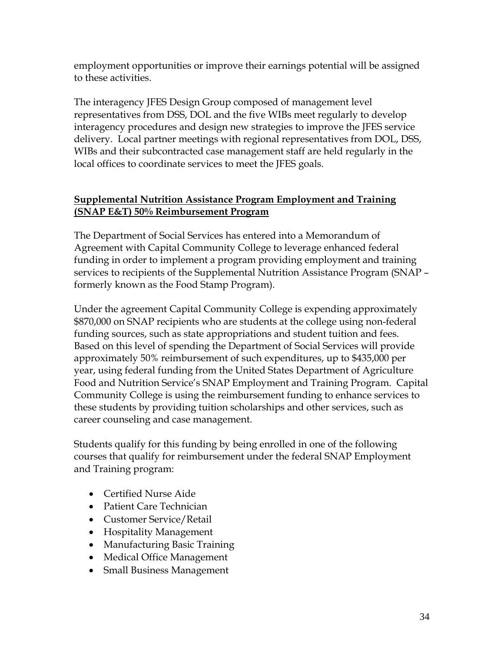employment opportunities or improve their earnings potential will be assigned to these activities.

The interagency JFES Design Group composed of management level representatives from DSS, DOL and the five WIBs meet regularly to develop interagency procedures and design new strategies to improve the JFES service delivery. Local partner meetings with regional representatives from DOL, DSS, WIBs and their subcontracted case management staff are held regularly in the local offices to coordinate services to meet the JFES goals.

### **Supplemental Nutrition Assistance Program Employment and Training (SNAP E&T) 50% Reimbursement Program**

The Department of Social Services has entered into a Memorandum of Agreement with Capital Community College to leverage enhanced federal funding in order to implement a program providing employment and training services to recipients of the Supplemental Nutrition Assistance Program (SNAP – formerly known as the Food Stamp Program).

Under the agreement Capital Community College is expending approximately \$870,000 on SNAP recipients who are students at the college using non-federal funding sources, such as state appropriations and student tuition and fees. Based on this level of spending the Department of Social Services will provide approximately 50% reimbursement of such expenditures, up to \$435,000 per year, using federal funding from the United States Department of Agriculture Food and Nutrition Service's SNAP Employment and Training Program. Capital Community College is using the reimbursement funding to enhance services to these students by providing tuition scholarships and other services, such as career counseling and case management.

Students qualify for this funding by being enrolled in one of the following courses that qualify for reimbursement under the federal SNAP Employment and Training program:

- Certified Nurse Aide
- Patient Care Technician
- Customer Service/Retail
- Hospitality Management
- Manufacturing Basic Training
- Medical Office Management
- Small Business Management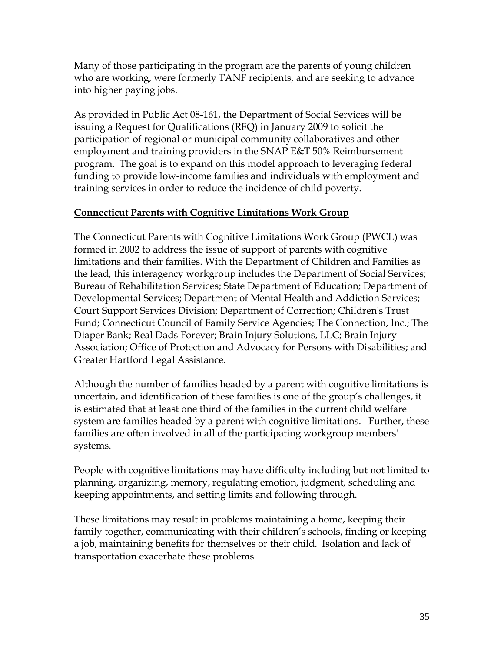Many of those participating in the program are the parents of young children who are working, were formerly TANF recipients, and are seeking to advance into higher paying jobs.

As provided in Public Act 08-161, the Department of Social Services will be issuing a Request for Qualifications (RFQ) in January 2009 to solicit the participation of regional or municipal community collaboratives and other employment and training providers in the SNAP E&T 50% Reimbursement program. The goal is to expand on this model approach to leveraging federal funding to provide low-income families and individuals with employment and training services in order to reduce the incidence of child poverty.

### **Connecticut Parents with Cognitive Limitations Work Group**

The Connecticut Parents with Cognitive Limitations Work Group (PWCL) was formed in 2002 to address the issue of support of parents with cognitive limitations and their families. With the Department of Children and Families as the lead, this interagency workgroup includes the Department of Social Services; Bureau of Rehabilitation Services; State Department of Education; Department of Developmental Services; Department of Mental Health and Addiction Services; Court Support Services Division; Department of Correction; Children's Trust Fund; Connecticut Council of Family Service Agencies; The Connection, Inc.; The Diaper Bank; Real Dads Forever; Brain Injury Solutions, LLC; Brain Injury Association; Office of Protection and Advocacy for Persons with Disabilities; and Greater Hartford Legal Assistance.

Although the number of families headed by a parent with cognitive limitations is uncertain, and identification of these families is one of the group's challenges, it is estimated that at least one third of the families in the current child welfare system are families headed by a parent with cognitive limitations. Further, these families are often involved in all of the participating workgroup members' systems.

People with cognitive limitations may have difficulty including but not limited to planning, organizing, memory, regulating emotion, judgment, scheduling and keeping appointments, and setting limits and following through.

These limitations may result in problems maintaining a home, keeping their family together, communicating with their children's schools, finding or keeping a job, maintaining benefits for themselves or their child. Isolation and lack of transportation exacerbate these problems.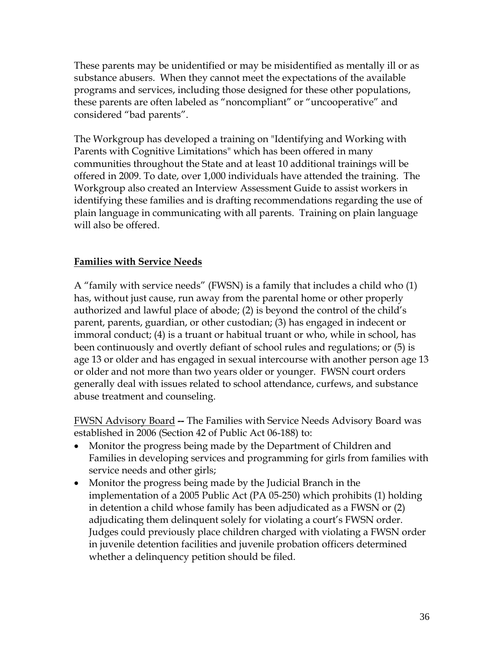These parents may be unidentified or may be misidentified as mentally ill or as substance abusers. When they cannot meet the expectations of the available programs and services, including those designed for these other populations, these parents are often labeled as "noncompliant" or "uncooperative" and considered "bad parents".

The Workgroup has developed a training on "Identifying and Working with Parents with Cognitive Limitations" which has been offered in many communities throughout the State and at least 10 additional trainings will be offered in 2009. To date, over 1,000 individuals have attended the training. The Workgroup also created an Interview Assessment Guide to assist workers in identifying these families and is drafting recommendations regarding the use of plain language in communicating with all parents. Training on plain language will also be offered.

### **Families with Service Needs**

A "family with service needs" (FWSN) is a family that includes a child who (1) has, without just cause, run away from the parental home or other properly authorized and lawful place of abode; (2) is beyond the control of the child's parent, parents, guardian, or other custodian; (3) has engaged in indecent or immoral conduct; (4) is a truant or habitual truant or who, while in school, has been continuously and overtly defiant of school rules and regulations; or (5) is age 13 or older and has engaged in sexual intercourse with another person age 13 or older and not more than two years older or younger. FWSN court orders generally deal with issues related to school attendance, curfews, and substance abuse treatment and counseling.

FWSN Advisory Board **--** The Families with Service Needs Advisory Board was established in 2006 (Section 42 of Public Act 06-188) to:

- Monitor the progress being made by the Department of Children and Families in developing services and programming for girls from families with service needs and other girls;
- Monitor the progress being made by the Judicial Branch in the implementation of a 2005 Public Act (PA 05-250) which prohibits (1) holding in detention a child whose family has been adjudicated as a FWSN or (2) adjudicating them delinquent solely for violating a court's FWSN order. Judges could previously place children charged with violating a FWSN order in juvenile detention facilities and juvenile probation officers determined whether a delinquency petition should be filed.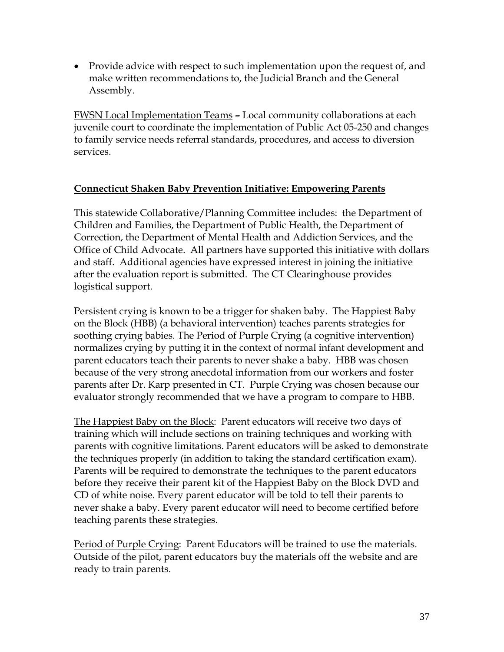• Provide advice with respect to such implementation upon the request of, and make written recommendations to, the Judicial Branch and the General Assembly.

FWSN Local Implementation Teams **–** Local community collaborations at each juvenile court to coordinate the implementation of Public Act 05-250 and changes to family service needs referral standards, procedures, and access to diversion services.

### **Connecticut Shaken Baby Prevention Initiative: Empowering Parents**

This statewide Collaborative/Planning Committee includes: the Department of Children and Families, the Department of Public Health, the Department of Correction, the Department of Mental Health and Addiction Services, and the Office of Child Advocate. All partners have supported this initiative with dollars and staff. Additional agencies have expressed interest in joining the initiative after the evaluation report is submitted. The CT Clearinghouse provides logistical support.

Persistent crying is known to be a trigger for shaken baby. The Happiest Baby on the Block (HBB) (a behavioral intervention) teaches parents strategies for soothing crying babies. The Period of Purple Crying (a cognitive intervention) normalizes crying by putting it in the context of normal infant development and parent educators teach their parents to never shake a baby. HBB was chosen because of the very strong anecdotal information from our workers and foster parents after Dr. Karp presented in CT. Purple Crying was chosen because our evaluator strongly recommended that we have a program to compare to HBB.

The Happiest Baby on the Block:Parent educators will receive two days of training which will include sections on training techniques and working with parents with cognitive limitations. Parent educators will be asked to demonstrate the techniques properly (in addition to taking the standard certification exam). Parents will be required to demonstrate the techniques to the parent educators before they receive their parent kit of the Happiest Baby on the Block DVD and CD of white noise. Every parent educator will be told to tell their parents to never shake a baby. Every parent educator will need to become certified before teaching parents these strategies.

Period of Purple Crying:Parent Educators will be trained to use the materials. Outside of the pilot, parent educators buy the materials off the website and are ready to train parents.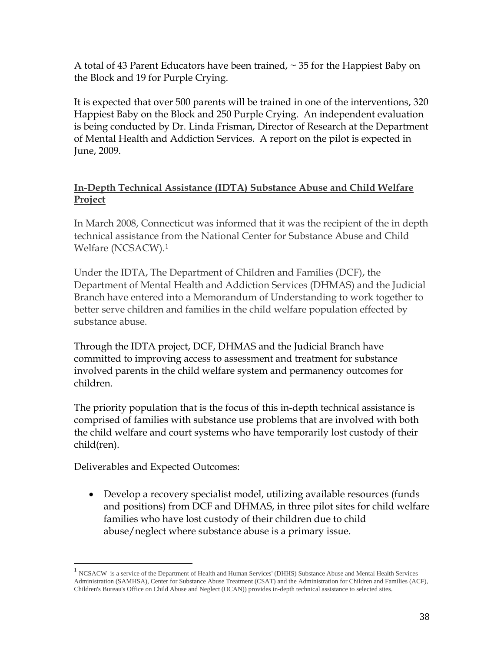A total of 43 Parent Educators have been trained, ~ 35 for the Happiest Baby on the Block and 19 for Purple Crying.

It is expected that over 500 parents will be trained in one of the interventions, 320 Happiest Baby on the Block and 250 Purple Crying. An independent evaluation is being conducted by Dr. Linda Frisman, Director of Research at the Department of Mental Health and Addiction Services. A report on the pilot is expected in June, 2009.

### **In-Depth Technical Assistance (IDTA) Substance Abuse and Child Welfare Project**

In March 2008, Connecticut was informed that it was the recipient of the in depth technical assistance from the National Center for Substance Abuse and Child Welfare (NCSACW).[1](#page-39-0)

Under the IDTA, The Department of Children and Families (DCF), the Department of Mental Health and Addiction Services (DHMAS) and the Judicial Branch have entered into a Memorandum of Understanding to work together to better serve children and families in the child welfare population effected by substance abuse.

Through the IDTA project, DCF, DHMAS and the Judicial Branch have committed to improving access to assessment and treatment for substance involved parents in the child welfare system and permanency outcomes for children.

The priority population that is the focus of this in-depth technical assistance is comprised of families with substance use problems that are involved with both the child welfare and court systems who have temporarily lost custody of their child(ren).

Deliverables and Expected Outcomes:

 $\overline{a}$ 

• Develop a recovery specialist model, utilizing available resources (funds and positions) from DCF and DHMAS, in three pilot sites for child welfare families who have lost custody of their children due to child abuse/neglect where substance abuse is a primary issue.

<span id="page-39-0"></span><sup>&</sup>lt;sup>1</sup> NCSACW is a service of the Department of Health and Human Services' (DHHS) Substance Abuse and Mental Health Services Administration (SAMHSA), Center for Substance Abuse Treatment (CSAT) and the Administration for Children and Families (ACF), Children's Bureau's Office on Child Abuse and Neglect (OCAN)) provides in-depth technical assistance to selected sites.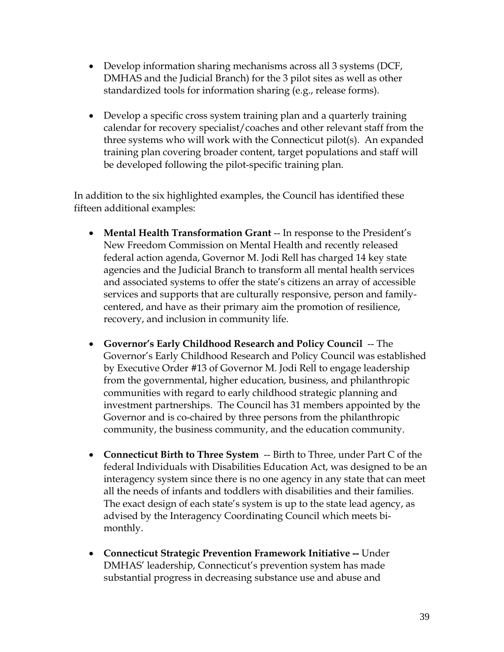- Develop information sharing mechanisms across all 3 systems (DCF, DMHAS and the Judicial Branch) for the 3 pilot sites as well as other standardized tools for information sharing (e.g., release forms).
- Develop a specific cross system training plan and a quarterly training calendar for recovery specialist/coaches and other relevant staff from the three systems who will work with the Connecticut pilot(s). An expanded training plan covering broader content, target populations and staff will be developed following the pilot-specific training plan.

In addition to the six highlighted examples, the Council has identified these fifteen additional examples:

- Mental Health Transformation Grant -- In response to the President's New Freedom Commission on Mental Health and recently released federal action agenda, Governor M. Jodi Rell has charged 14 key state agencies and the Judicial Branch to transform all mental health services and associated systems to offer the state's citizens an array of accessible services and supports that are culturally responsive, person and familycentered, and have as their primary aim the promotion of resilience, recovery, and inclusion in community life.
- **Governor's Early Childhood Research and Policy Council** -- The Governor's Early Childhood Research and Policy Council was established by Executive Order #13 of Governor M. Jodi Rell to engage leadership from the governmental, higher education, business, and philanthropic communities with regard to early childhood strategic planning and investment partnerships. The Council has 31 members appointed by the Governor and is co-chaired by three persons from the philanthropic community, the business community, and the education community.
- **Connecticut Birth to Three System** -- Birth to Three, under Part C of the federal Individuals with Disabilities Education Act, was designed to be an interagency system since there is no one agency in any state that can meet all the needs of infants and toddlers with disabilities and their families. The exact design of each state's system is up to the state lead agency, as advised by the Interagency Coordinating Council which meets bimonthly.
- **Connecticut Strategic Prevention Framework Initiative --** Under DMHAS' leadership, Connecticut's prevention system has made substantial progress in decreasing substance use and abuse and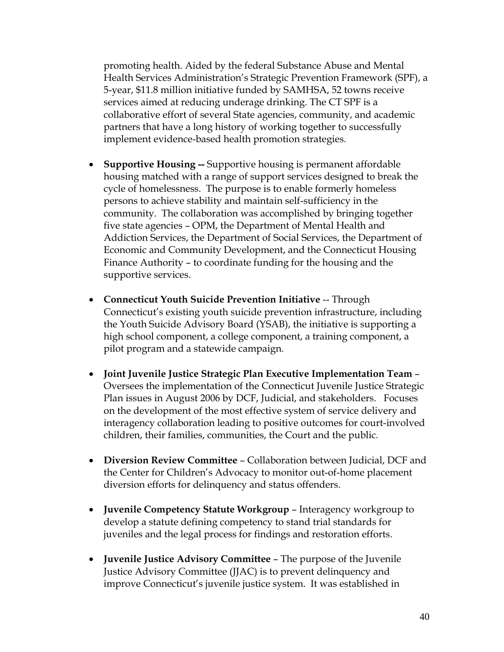promoting health. Aided by the federal Substance Abuse and Mental Health Services Administration's Strategic Prevention Framework (SPF), a 5-year, \$11.8 million initiative funded by SAMHSA, 52 towns receive services aimed at reducing underage drinking. The CT SPF is a collaborative effort of several State agencies, community, and academic partners that have a long history of working together to successfully implement evidence-based health promotion strategies.

- **Supportive Housing --** Supportive housing is permanent affordable housing matched with a range of support services designed to break the cycle of homelessness. The purpose is to enable formerly homeless persons to achieve stability and maintain self-sufficiency in the community. The collaboration was accomplished by bringing together five state agencies – OPM, the Department of Mental Health and Addiction Services, the Department of Social Services, the Department of Economic and Community Development, and the Connecticut Housing Finance Authority – to coordinate funding for the housing and the supportive services.
- **Connecticut Youth Suicide Prevention Initiative -- Through** Connecticut's existing youth suicide prevention infrastructure, including the Youth Suicide Advisory Board (YSAB), the initiative is supporting a high school component, a college component, a training component, a pilot program and a statewide campaign.
- **Joint Juvenile Justice Strategic Plan Executive Implementation Team**  Oversees the implementation of the Connecticut Juvenile Justice Strategic Plan issues in August 2006 by DCF, Judicial, and stakeholders. Focuses on the development of the most effective system of service delivery and interagency collaboration leading to positive outcomes for court-involved children, their families, communities, the Court and the public.
- **Diversion Review Committee**  Collaboration between Judicial, DCF and the Center for Children's Advocacy to monitor out-of-home placement diversion efforts for delinquency and status offenders.
- **Juvenile Competency Statute Workgroup**  Interagency workgroup to develop a statute defining competency to stand trial standards for juveniles and the legal process for findings and restoration efforts.
- **Juvenile Justice Advisory Committee** The purpose of the Juvenile Justice Advisory Committee (JJAC) is to prevent delinquency and improve Connecticut's juvenile justice system. It was established in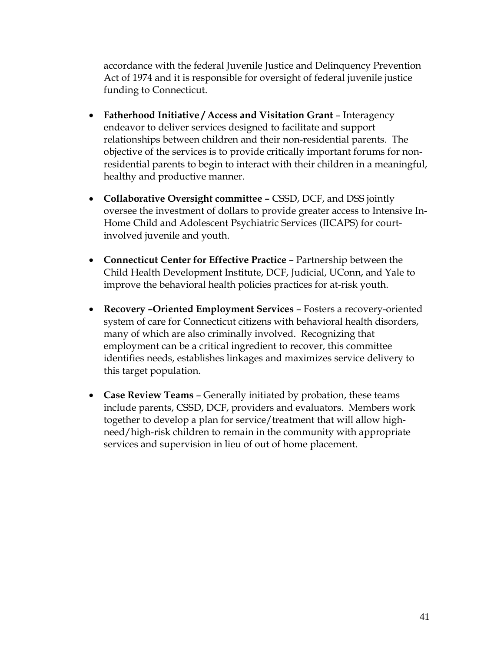accordance with the federal Juvenile Justice and Delinquency Prevention Act of 1974 and it is responsible for oversight of federal juvenile justice funding to Connecticut.

- Fatherhood Initiative / Access and Visitation Grant Interagency endeavor to deliver services designed to facilitate and support relationships between children and their non-residential parents. The objective of the services is to provide critically important forums for nonresidential parents to begin to interact with their children in a meaningful, healthy and productive manner.
- **Collaborative Oversight committee** CSSD, DCF, and DSS jointly oversee the investment of dollars to provide greater access to Intensive In-Home Child and Adolescent Psychiatric Services (IICAPS) for courtinvolved juvenile and youth.
- **Connecticut Center for Effective Practice** Partnership between the Child Health Development Institute, DCF, Judicial, UConn, and Yale to improve the behavioral health policies practices for at-risk youth.
- **Recovery –Oriented Employment Services**  Fosters a recovery-oriented system of care for Connecticut citizens with behavioral health disorders, many of which are also criminally involved. Recognizing that employment can be a critical ingredient to recover, this committee identifies needs, establishes linkages and maximizes service delivery to this target population.
- **Case Review Teams**  Generally initiated by probation, these teams include parents, CSSD, DCF, providers and evaluators. Members work together to develop a plan for service/treatment that will allow highneed/high-risk children to remain in the community with appropriate services and supervision in lieu of out of home placement.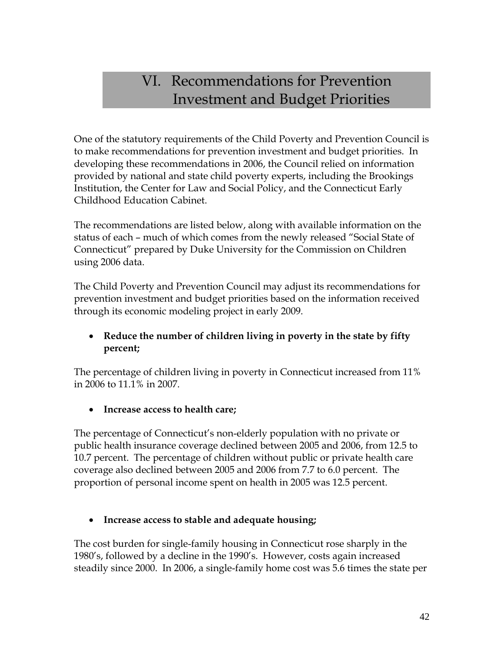### VI. Recommendations for Prevention Investment and Budget Priorities

One of the statutory requirements of the Child Poverty and Prevention Council is to make recommendations for prevention investment and budget priorities. In developing these recommendations in 2006, the Council relied on information provided by national and state child poverty experts, including the Brookings Institution, the Center for Law and Social Policy, and the Connecticut Early Childhood Education Cabinet.

The recommendations are listed below, along with available information on the status of each – much of which comes from the newly released "Social State of Connecticut" prepared by Duke University for the Commission on Children using 2006 data.

The Child Poverty and Prevention Council may adjust its recommendations for prevention investment and budget priorities based on the information received through its economic modeling project in early 2009.

### • **Reduce the number of children living in poverty in the state by fifty percent;**

The percentage of children living in poverty in Connecticut increased from 11% in 2006 to 11.1% in 2007.

• **Increase access to health care;** 

The percentage of Connecticut's non-elderly population with no private or public health insurance coverage declined between 2005 and 2006, from 12.5 to 10.7 percent. The percentage of children without public or private health care coverage also declined between 2005 and 2006 from 7.7 to 6.0 percent. The proportion of personal income spent on health in 2005 was 12.5 percent.

### • **Increase access to stable and adequate housing;**

The cost burden for single-family housing in Connecticut rose sharply in the 1980's, followed by a decline in the 1990's. However, costs again increased steadily since 2000. In 2006, a single-family home cost was 5.6 times the state per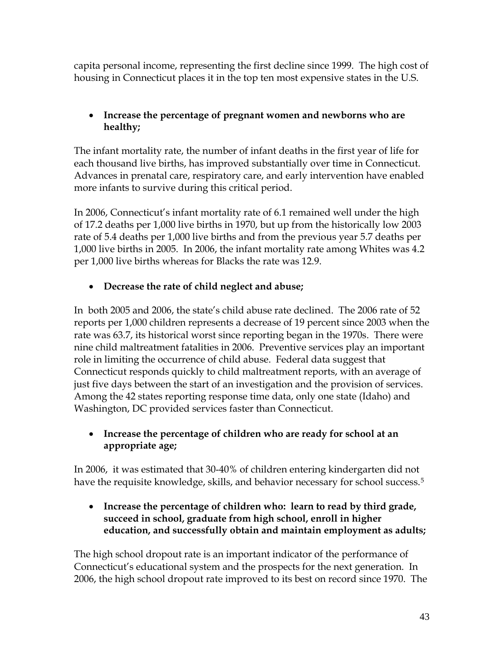capita personal income, representing the first decline since 1999. The high cost of housing in Connecticut places it in the top ten most expensive states in the U.S.

### • **Increase the percentage of pregnant women and newborns who are healthy;**

The infant mortality rate, the number of infant deaths in the first year of life for each thousand live births, has improved substantially over time in Connecticut. Advances in prenatal care, respiratory care, and early intervention have enabled more infants to survive during this critical period.

In 2006, Connecticut's infant mortality rate of 6.1 remained well under the high of 17.2 deaths per 1,000 live births in 1970, but up from the historically low 2003 rate of 5.4 deaths per 1,000 live births and from the previous year 5.7 deaths per 1,000 live births in 2005. In 2006, the infant mortality rate among Whites was 4.2 per 1,000 live births whereas for Blacks the rate was 12.9.

### • **Decrease the rate of child neglect and abuse;**

In both 2005 and 2006, the state's child abuse rate declined. The 2006 rate of 52 reports per 1,000 children represents a decrease of 19 percent since 2003 when the rate was 63.7, its historical worst since reporting began in the 1970s. There were nine child maltreatment fatalities in 2006. Preventive services play an important role in limiting the occurrence of child abuse. Federal data suggest that Connecticut responds quickly to child maltreatment reports, with an average of just five days between the start of an investigation and the provision of services. Among the 42 states reporting response time data, only one state (Idaho) and Washington, DC provided services faster than Connecticut.

### • **Increase the percentage of children who are ready for school at an appropriate age;**

In 2006, it was estimated that 30-40% of children entering kindergarten did not have the requisite knowledge, skills, and behavior necessary for school success.<sup>[5](#page-57-1)</sup>

### • **Increase the percentage of children who: learn to read by third grade, succeed in school, graduate from high school, enroll in higher education, and successfully obtain and maintain employment as adults;**

The high school dropout rate is an important indicator of the performance of Connecticut's educational system and the prospects for the next generation. In 2006, the high school dropout rate improved to its best on record since 1970. The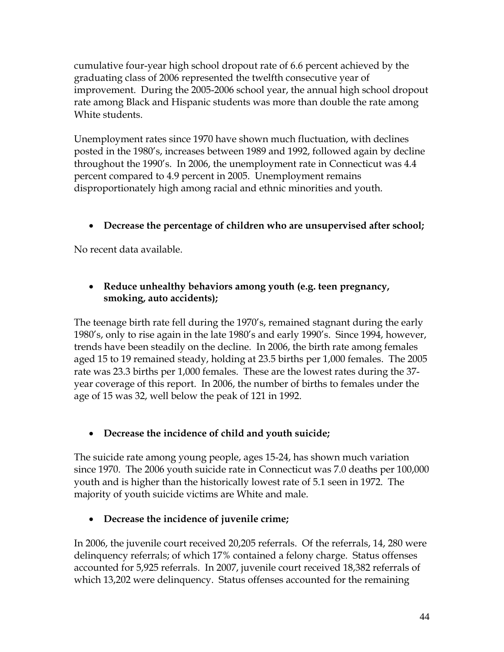cumulative four-year high school dropout rate of 6.6 percent achieved by the graduating class of 2006 represented the twelfth consecutive year of improvement. During the 2005-2006 school year, the annual high school dropout rate among Black and Hispanic students was more than double the rate among White students.

Unemployment rates since 1970 have shown much fluctuation, with declines posted in the 1980's, increases between 1989 and 1992, followed again by decline throughout the 1990's. In 2006, the unemployment rate in Connecticut was 4.4 percent compared to 4.9 percent in 2005. Unemployment remains disproportionately high among racial and ethnic minorities and youth.

### • **Decrease the percentage of children who are unsupervised after school;**

No recent data available.

### • **Reduce unhealthy behaviors among youth (e.g. teen pregnancy, smoking, auto accidents);**

The teenage birth rate fell during the 1970's, remained stagnant during the early 1980's, only to rise again in the late 1980's and early 1990's. Since 1994, however, trends have been steadily on the decline. In 2006, the birth rate among females aged 15 to 19 remained steady, holding at 23.5 births per 1,000 females. The 2005 rate was 23.3 births per 1,000 females. These are the lowest rates during the 37 year coverage of this report. In 2006, the number of births to females under the age of 15 was 32, well below the peak of 121 in 1992.

### • **Decrease the incidence of child and youth suicide;**

The suicide rate among young people, ages 15-24, has shown much variation since 1970. The 2006 youth suicide rate in Connecticut was 7.0 deaths per 100,000 youth and is higher than the historically lowest rate of 5.1 seen in 1972. The majority of youth suicide victims are White and male.

### • **Decrease the incidence of juvenile crime;**

In 2006, the juvenile court received 20,205 referrals. Of the referrals, 14, 280 were delinquency referrals; of which 17% contained a felony charge. Status offenses accounted for 5,925 referrals. In 2007, juvenile court received 18,382 referrals of which 13,202 were delinquency. Status offenses accounted for the remaining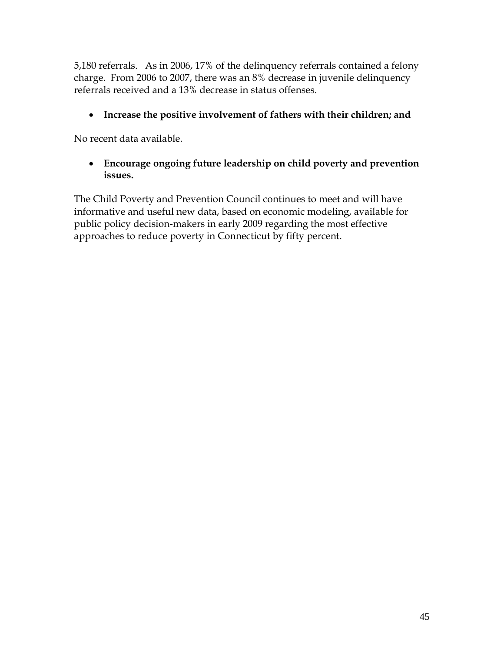5,180 referrals. As in 2006, 17% of the delinquency referrals contained a felony charge. From 2006 to 2007, there was an 8% decrease in juvenile delinquency referrals received and a 13% decrease in status offenses.

### • **Increase the positive involvement of fathers with their children; and**

No recent data available.

### • **Encourage ongoing future leadership on child poverty and prevention issues.**

The Child Poverty and Prevention Council continues to meet and will have informative and useful new data, based on economic modeling, available for public policy decision-makers in early 2009 regarding the most effective approaches to reduce poverty in Connecticut by fifty percent.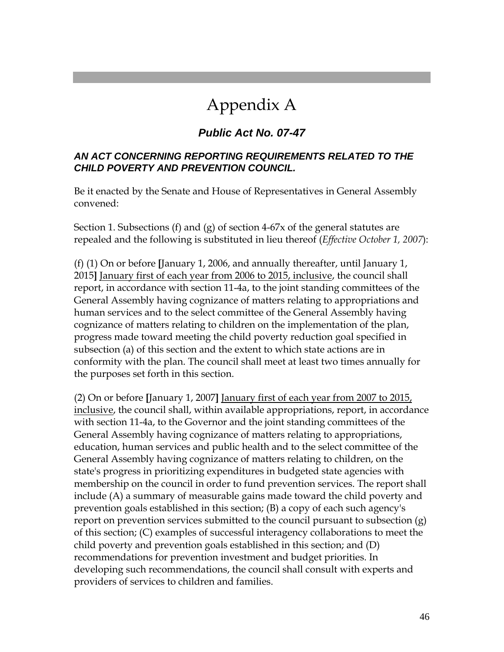## Appendix A

### *Public Act No. 07-47*

#### *AN ACT CONCERNING REPORTING REQUIREMENTS RELATED TO THE CHILD POVERTY AND PREVENTION COUNCIL.*

Be it enacted by the Senate and House of Representatives in General Assembly convened:

Section 1. Subsections (f) and (g) of section 4-67x of the general statutes are repealed and the following is substituted in lieu thereof (*Effective October 1, 2007*):

(f) (1) On or before **[**January 1, 2006, and annually thereafter, until January 1, 2015**]** January first of each year from 2006 to 2015, inclusive, the council shall report, in accordance with section 11-4a, to the joint standing committees of the General Assembly having cognizance of matters relating to appropriations and human services and to the select committee of the General Assembly having cognizance of matters relating to children on the implementation of the plan, progress made toward meeting the child poverty reduction goal specified in subsection (a) of this section and the extent to which state actions are in conformity with the plan. The council shall meet at least two times annually for the purposes set forth in this section.

(2) On or before **[**January 1, 2007**]** January first of each year from 2007 to 2015, inclusive, the council shall, within available appropriations, report, in accordance with section 11-4a, to the Governor and the joint standing committees of the General Assembly having cognizance of matters relating to appropriations, education, human services and public health and to the select committee of the General Assembly having cognizance of matters relating to children, on the state's progress in prioritizing expenditures in budgeted state agencies with membership on the council in order to fund prevention services. The report shall include (A) a summary of measurable gains made toward the child poverty and prevention goals established in this section; (B) a copy of each such agency's report on prevention services submitted to the council pursuant to subsection (g) of this section; (C) examples of successful interagency collaborations to meet the child poverty and prevention goals established in this section; and (D) recommendations for prevention investment and budget priorities. In developing such recommendations, the council shall consult with experts and providers of services to children and families.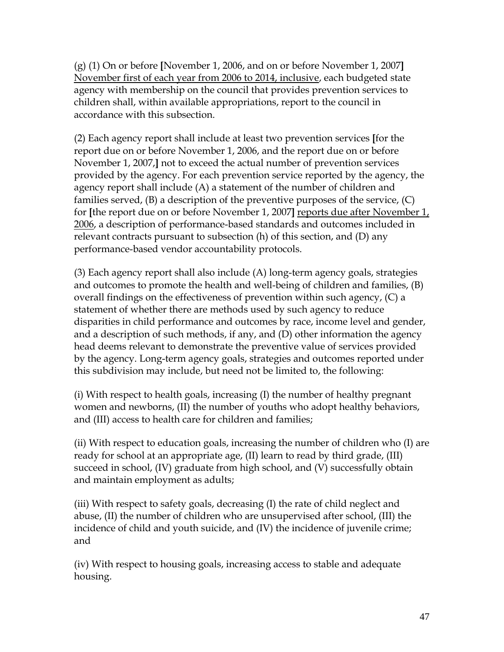(g) (1) On or before **[**November 1, 2006, and on or before November 1, 2007**]** November first of each year from 2006 to 2014, inclusive, each budgeted state agency with membership on the council that provides prevention services to children shall, within available appropriations, report to the council in accordance with this subsection.

(2) Each agency report shall include at least two prevention services **[**for the report due on or before November 1, 2006, and the report due on or before November 1, 2007,**]** not to exceed the actual number of prevention services provided by the agency. For each prevention service reported by the agency, the agency report shall include (A) a statement of the number of children and families served, (B) a description of the preventive purposes of the service, (C) for **[**the report due on or before November 1, 2007**]** reports due after November 1, 2006, a description of performance-based standards and outcomes included in relevant contracts pursuant to subsection (h) of this section, and (D) any performance-based vendor accountability protocols.

(3) Each agency report shall also include (A) long-term agency goals, strategies and outcomes to promote the health and well-being of children and families, (B) overall findings on the effectiveness of prevention within such agency, (C) a statement of whether there are methods used by such agency to reduce disparities in child performance and outcomes by race, income level and gender, and a description of such methods, if any, and (D) other information the agency head deems relevant to demonstrate the preventive value of services provided by the agency. Long-term agency goals, strategies and outcomes reported under this subdivision may include, but need not be limited to, the following:

(i) With respect to health goals, increasing (I) the number of healthy pregnant women and newborns, (II) the number of youths who adopt healthy behaviors, and (III) access to health care for children and families;

(ii) With respect to education goals, increasing the number of children who (I) are ready for school at an appropriate age, (II) learn to read by third grade, (III) succeed in school, (IV) graduate from high school, and (V) successfully obtain and maintain employment as adults;

(iii) With respect to safety goals, decreasing (I) the rate of child neglect and abuse, (II) the number of children who are unsupervised after school, (III) the incidence of child and youth suicide, and (IV) the incidence of juvenile crime; and

(iv) With respect to housing goals, increasing access to stable and adequate housing.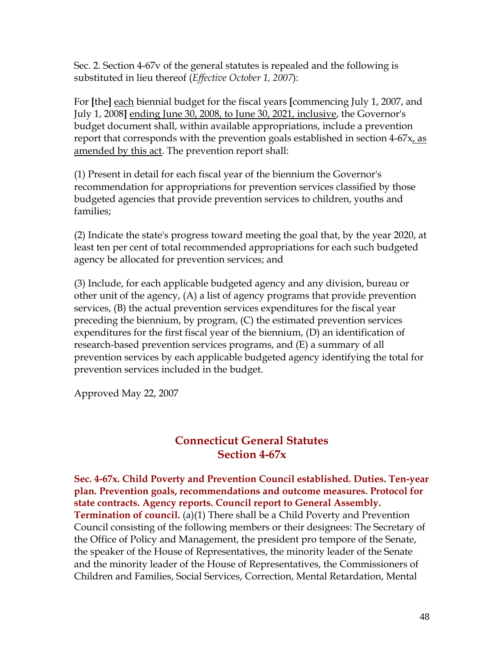Sec. 2. Section 4-67v of the general statutes is repealed and the following is substituted in lieu thereof (*Effective October 1, 2007*):

For **[**the**]** each biennial budget for the fiscal years **[**commencing July 1, 2007, and July 1, 2008**]** ending June 30, 2008, to June 30, 2021, inclusive, the Governor's budget document shall, within available appropriations, include a prevention report that corresponds with the prevention goals established in section 4-67x, as amended by this act. The prevention report shall:

(1) Present in detail for each fiscal year of the biennium the Governor's recommendation for appropriations for prevention services classified by those budgeted agencies that provide prevention services to children, youths and families;

(2) Indicate the state's progress toward meeting the goal that, by the year 2020, at least ten per cent of total recommended appropriations for each such budgeted agency be allocated for prevention services; and

(3) Include, for each applicable budgeted agency and any division, bureau or other unit of the agency, (A) a list of agency programs that provide prevention services, (B) the actual prevention services expenditures for the fiscal year preceding the biennium, by program, (C) the estimated prevention services expenditures for the first fiscal year of the biennium, (D) an identification of research-based prevention services programs, and (E) a summary of all prevention services by each applicable budgeted agency identifying the total for prevention services included in the budget.

Approved May 22, 2007

### **Connecticut General Statutes Section 4-67x**

**Sec. 4-67x. Child Poverty and Prevention Council established. Duties. Ten-year plan. Prevention goals, recommendations and outcome measures. Protocol for state contracts. Agency reports. Council report to General Assembly. Termination of council.** (a)(1) There shall be a Child Poverty and Prevention Council consisting of the following members or their designees: The Secretary of the Office of Policy and Management, the president pro tempore of the Senate, the speaker of the House of Representatives, the minority leader of the Senate and the minority leader of the House of Representatives, the Commissioners of Children and Families, Social Services, Correction, Mental Retardation, Mental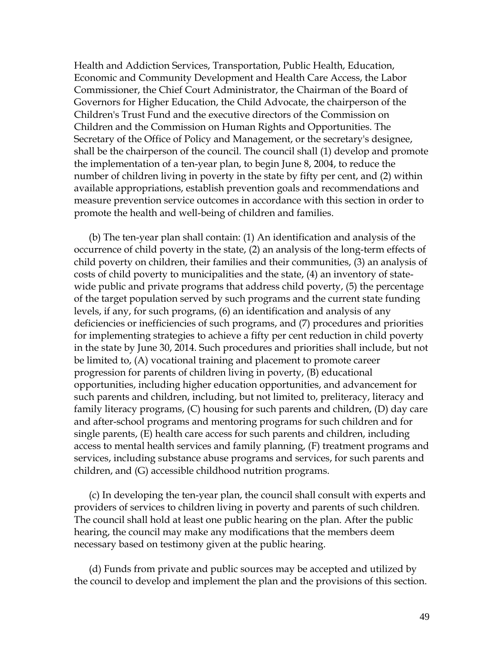Health and Addiction Services, Transportation, Public Health, Education, Economic and Community Development and Health Care Access, the Labor Commissioner, the Chief Court Administrator, the Chairman of the Board of Governors for Higher Education, the Child Advocate, the chairperson of the Children's Trust Fund and the executive directors of the Commission on Children and the Commission on Human Rights and Opportunities. The Secretary of the Office of Policy and Management, or the secretary's designee, shall be the chairperson of the council. The council shall (1) develop and promote the implementation of a ten-year plan, to begin June 8, 2004, to reduce the number of children living in poverty in the state by fifty per cent, and (2) within available appropriations, establish prevention goals and recommendations and measure prevention service outcomes in accordance with this section in order to promote the health and well-being of children and families.

 (b) The ten-year plan shall contain: (1) An identification and analysis of the occurrence of child poverty in the state, (2) an analysis of the long-term effects of child poverty on children, their families and their communities, (3) an analysis of costs of child poverty to municipalities and the state, (4) an inventory of statewide public and private programs that address child poverty, (5) the percentage of the target population served by such programs and the current state funding levels, if any, for such programs, (6) an identification and analysis of any deficiencies or inefficiencies of such programs, and (7) procedures and priorities for implementing strategies to achieve a fifty per cent reduction in child poverty in the state by June 30, 2014. Such procedures and priorities shall include, but not be limited to, (A) vocational training and placement to promote career progression for parents of children living in poverty, (B) educational opportunities, including higher education opportunities, and advancement for such parents and children, including, but not limited to, preliteracy, literacy and family literacy programs, (C) housing for such parents and children, (D) day care and after-school programs and mentoring programs for such children and for single parents, (E) health care access for such parents and children, including access to mental health services and family planning, (F) treatment programs and services, including substance abuse programs and services, for such parents and children, and (G) accessible childhood nutrition programs.

 (c) In developing the ten-year plan, the council shall consult with experts and providers of services to children living in poverty and parents of such children. The council shall hold at least one public hearing on the plan. After the public hearing, the council may make any modifications that the members deem necessary based on testimony given at the public hearing.

 (d) Funds from private and public sources may be accepted and utilized by the council to develop and implement the plan and the provisions of this section.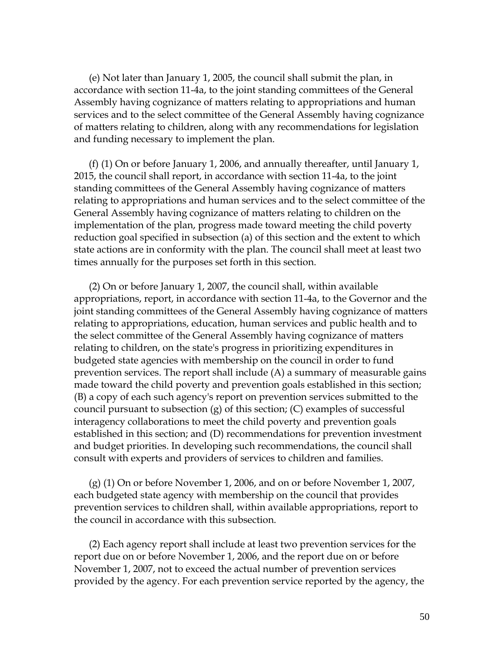(e) Not later than January 1, 2005, the council shall submit the plan, in accordance with section 11-4a, to the joint standing committees of the General Assembly having cognizance of matters relating to appropriations and human services and to the select committee of the General Assembly having cognizance of matters relating to children, along with any recommendations for legislation and funding necessary to implement the plan.

 (f) (1) On or before January 1, 2006, and annually thereafter, until January 1, 2015, the council shall report, in accordance with section 11-4a, to the joint standing committees of the General Assembly having cognizance of matters relating to appropriations and human services and to the select committee of the General Assembly having cognizance of matters relating to children on the implementation of the plan, progress made toward meeting the child poverty reduction goal specified in subsection (a) of this section and the extent to which state actions are in conformity with the plan. The council shall meet at least two times annually for the purposes set forth in this section.

 (2) On or before January 1, 2007, the council shall, within available appropriations, report, in accordance with section 11-4a, to the Governor and the joint standing committees of the General Assembly having cognizance of matters relating to appropriations, education, human services and public health and to the select committee of the General Assembly having cognizance of matters relating to children, on the state's progress in prioritizing expenditures in budgeted state agencies with membership on the council in order to fund prevention services. The report shall include (A) a summary of measurable gains made toward the child poverty and prevention goals established in this section; (B) a copy of each such agency's report on prevention services submitted to the council pursuant to subsection (g) of this section; (C) examples of successful interagency collaborations to meet the child poverty and prevention goals established in this section; and (D) recommendations for prevention investment and budget priorities. In developing such recommendations, the council shall consult with experts and providers of services to children and families.

 (g) (1) On or before November 1, 2006, and on or before November 1, 2007, each budgeted state agency with membership on the council that provides prevention services to children shall, within available appropriations, report to the council in accordance with this subsection.

 (2) Each agency report shall include at least two prevention services for the report due on or before November 1, 2006, and the report due on or before November 1, 2007, not to exceed the actual number of prevention services provided by the agency. For each prevention service reported by the agency, the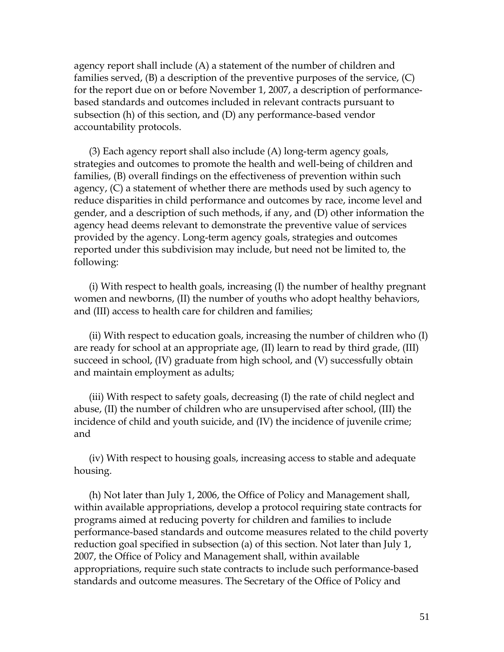agency report shall include (A) a statement of the number of children and families served, (B) a description of the preventive purposes of the service, (C) for the report due on or before November 1, 2007, a description of performancebased standards and outcomes included in relevant contracts pursuant to subsection (h) of this section, and (D) any performance-based vendor accountability protocols.

 (3) Each agency report shall also include (A) long-term agency goals, strategies and outcomes to promote the health and well-being of children and families, (B) overall findings on the effectiveness of prevention within such agency, (C) a statement of whether there are methods used by such agency to reduce disparities in child performance and outcomes by race, income level and gender, and a description of such methods, if any, and (D) other information the agency head deems relevant to demonstrate the preventive value of services provided by the agency. Long-term agency goals, strategies and outcomes reported under this subdivision may include, but need not be limited to, the following:

 (i) With respect to health goals, increasing (I) the number of healthy pregnant women and newborns, (II) the number of youths who adopt healthy behaviors, and (III) access to health care for children and families;

 (ii) With respect to education goals, increasing the number of children who (I) are ready for school at an appropriate age, (II) learn to read by third grade, (III) succeed in school, (IV) graduate from high school, and (V) successfully obtain and maintain employment as adults;

 (iii) With respect to safety goals, decreasing (I) the rate of child neglect and abuse, (II) the number of children who are unsupervised after school, (III) the incidence of child and youth suicide, and (IV) the incidence of juvenile crime; and

 (iv) With respect to housing goals, increasing access to stable and adequate housing.

 (h) Not later than July 1, 2006, the Office of Policy and Management shall, within available appropriations, develop a protocol requiring state contracts for programs aimed at reducing poverty for children and families to include performance-based standards and outcome measures related to the child poverty reduction goal specified in subsection (a) of this section. Not later than July 1, 2007, the Office of Policy and Management shall, within available appropriations, require such state contracts to include such performance-based standards and outcome measures. The Secretary of the Office of Policy and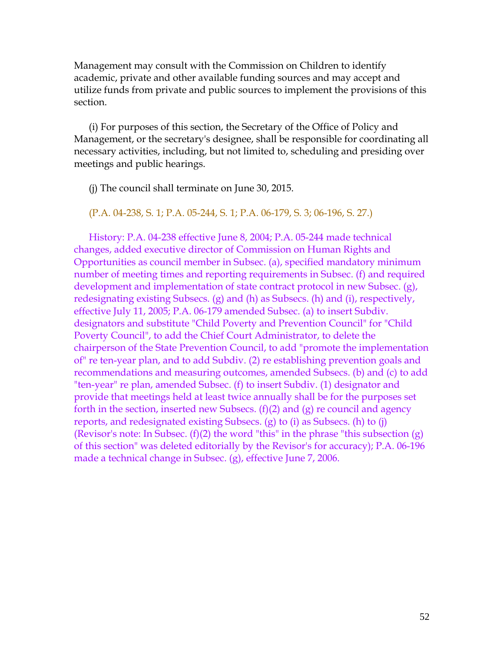Management may consult with the Commission on Children to identify academic, private and other available funding sources and may accept and utilize funds from private and public sources to implement the provisions of this section.

 (i) For purposes of this section, the Secretary of the Office of Policy and Management, or the secretary's designee, shall be responsible for coordinating all necessary activities, including, but not limited to, scheduling and presiding over meetings and public hearings.

(j) The council shall terminate on June 30, 2015.

(P.A. 04-238, S. 1; P.A. 05-244, S. 1; P.A. 06-179, S. 3; 06-196, S. 27.)

 History: P.A. 04-238 effective June 8, 2004; P.A. 05-244 made technical changes, added executive director of Commission on Human Rights and Opportunities as council member in Subsec. (a), specified mandatory minimum number of meeting times and reporting requirements in Subsec. (f) and required development and implementation of state contract protocol in new Subsec. (g), redesignating existing Subsecs. (g) and (h) as Subsecs. (h) and (i), respectively, effective July 11, 2005; P.A. 06-179 amended Subsec. (a) to insert Subdiv. designators and substitute "Child Poverty and Prevention Council" for "Child Poverty Council", to add the Chief Court Administrator, to delete the chairperson of the State Prevention Council, to add "promote the implementation of" re ten-year plan, and to add Subdiv. (2) re establishing prevention goals and recommendations and measuring outcomes, amended Subsecs. (b) and (c) to add "ten-year" re plan, amended Subsec. (f) to insert Subdiv. (1) designator and provide that meetings held at least twice annually shall be for the purposes set forth in the section, inserted new Subsecs.  $(f)(2)$  and  $(g)$  re council and agency reports, and redesignated existing Subsecs. (g) to (i) as Subsecs. (h) to (j) (Revisor's note: In Subsec.  $(f)(2)$  the word "this" in the phrase "this subsection  $(g)$ ) of this section" was deleted editorially by the Revisor's for accuracy); P.A. 06-196 made a technical change in Subsec. (g), effective June 7, 2006.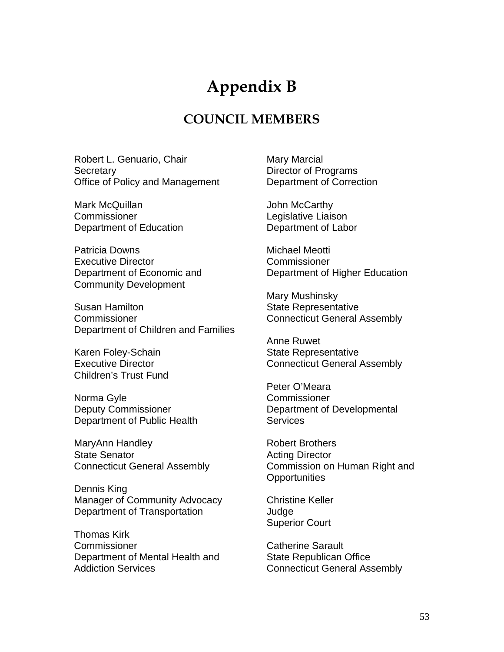## **Appendix B**

### **COUNCIL MEMBERS**

Robert L. Genuario, Chair **Secretary** Office of Policy and Management

Mark McQuillan **Commissioner** Department of Education

Patricia Downs Executive Director Department of Economic and Community Development

Susan Hamilton Commissioner Department of Children and Families

Karen Foley-Schain Executive Director Children's Trust Fund

Norma Gyle Deputy Commissioner Department of Public Health

MaryAnn Handley State Senator Connecticut General Assembly

Dennis King Manager of Community Advocacy Department of Transportation

Thomas Kirk Commissioner Department of Mental Health and Addiction Services

Mary Marcial Director of Programs Department of Correction

John McCarthy Legislative Liaison Department of Labor

Michael Meotti Commissioner Department of Higher Education

Mary Mushinsky State Representative Connecticut General Assembly

Anne Ruwet State Representative Connecticut General Assembly

Peter O'Meara **Commissioner** Department of Developmental **Services** 

Robert Brothers Acting Director Commission on Human Right and **Opportunities** 

Christine Keller Judge Superior Court

Catherine Sarault State Republican Office Connecticut General Assembly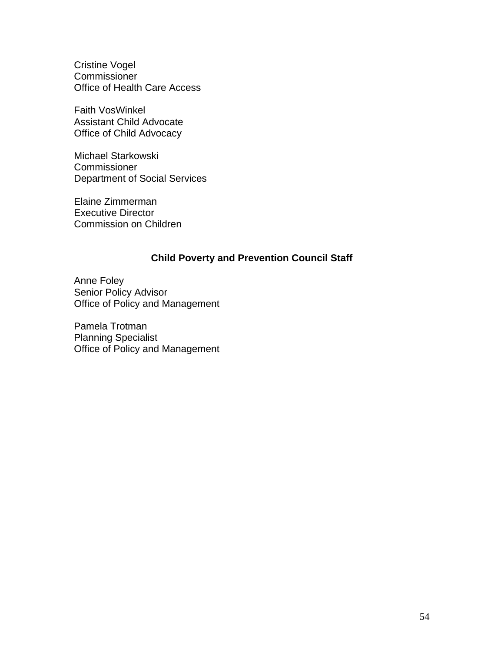Cristine Vogel **Commissioner** Office of Health Care Access

Faith VosWinkel Assistant Child Advocate Office of Child Advocacy

Michael Starkowski **Commissioner** Department of Social Services

Elaine Zimmerman Executive Director Commission on Children

#### **Child Poverty and Prevention Council Staff**

Anne Foley Senior Policy Advisor Office of Policy and Management

Pamela Trotman Planning Specialist Office of Policy and Management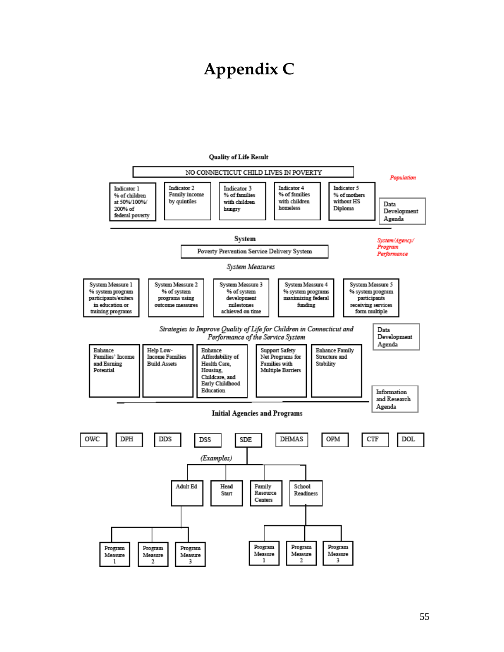## **Appendix C**



#### **Quality of Life Result**